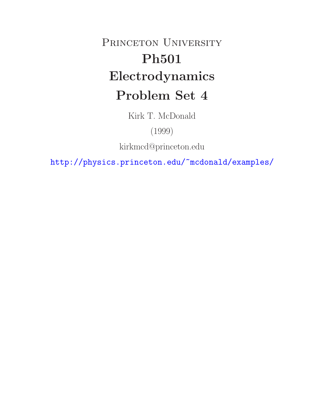# PRINCETON UNIVERSITY **Ph501 Electrodynamics Problem Set 4**

Kirk T. McDonald

(1999)

kirkmcd@princeton.edu

http://physics.princeton.edu/~mcdonald/examples/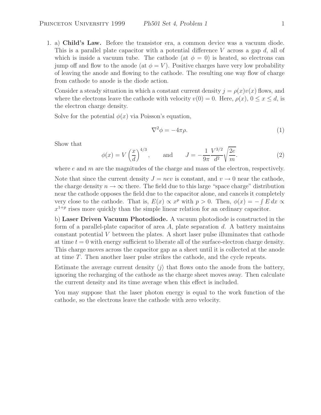1. a) **Child's Law.** Before the transistor era, a common device was a vacuum diode. This is a parallel plate capacitor with a potential difference  $V$  across a gap  $d$ , all of which is inside a vacuum tube. The cathode (at  $\phi = 0$ ) is heated, so electrons can jump off and flow to the anode (at  $\phi = V$ ). Positive charges have very low probability of leaving the anode and flowing to the cathode. The resulting one way flow of charge from cathode to anode is the diode action.

Consider a steady situation in which a constant current density  $j = \rho(x)v(x)$  flows, and where the electrons leave the cathode with velocity  $v(0) = 0$ . Here,  $\rho(x)$ ,  $0 \le x \le d$ , is the electron charge density.

Solve for the potential  $\phi(x)$  via Poisson's equation,

$$
\nabla^2 \phi = -4\pi \rho. \tag{1}
$$

Show that

$$
\phi(x) = V\left(\frac{x}{d}\right)^{4/3}, \quad \text{and} \quad J = -\frac{1}{9\pi} \frac{V^{3/2}}{d^2} \sqrt{\frac{2e}{m}}.
$$
\n(2)

where  $e$  and  $m$  are the magnitudes of the charge and mass of the electron, respectively.

Note that since the current density  $J = nev$  is constant, and  $v \to 0$  near the cathode, the charge density  $n \to \infty$  there. The field due to this large "space charge" distribution near the cathode opposes the field due to the capacitor alone, and cancels it completely very close to the cathode. That is,  $E(x) \propto x^p$  with  $p > 0$ . Then,  $\phi(x) = -\int E dx$  $x^{1+p}$  rises more quickly than the simple linear relation for an ordinary capacitor.

b) **Laser Driven Vacuum Photodiode.** A vacuum photodiode is constructed in the form of a parallel-plate capacitor of area  $A$ , plate separation  $d$ . A battery maintains constant potential V between the plates. A short laser pulse illuminates that cathode at time  $t = 0$  with energy sufficient to liberate all of the surface-electron charge density. This charge moves across the capacitor gap as a sheet until it is collected at the anode at time  $T$ . Then another laser pulse strikes the cathode, and the cycle repeats.

Estimate the average current density  $\langle j \rangle$  that flows onto the anode from the battery, ignoring the recharging of the cathode as the charge sheet moves away. Then calculate the current density and its time average when this effect is included.

You may suppose that the laser photon energy is equal to the work function of the cathode, so the electrons leave the cathode with zero velocity.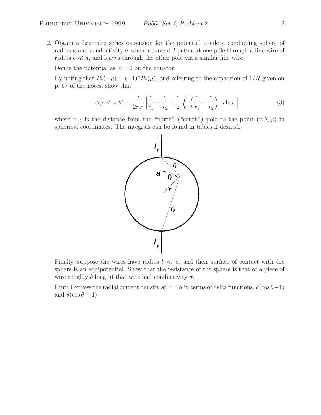2. Obtain a Legendre series expansion for the potential inside a conducting sphere of radius a and conductivity  $\sigma$  when a current I enters at one pole through a fine wire of radius  $b \ll a$ , and leaves through the other pole via a similar fine wire.

Define the potential as  $\phi = 0$  on the equator.

By noting that  $P_n(-\mu) = (-1)^n P_n(\mu)$ , and referring to the expansion of  $1/R$  given on p. 57 of the notes, show that

$$
\phi(r < a, \theta) = \frac{I}{2\pi\sigma} \left[ \frac{1}{r_1} - \frac{1}{r_2} + \frac{1}{2} \int_0^r \left( \frac{1}{r_1} - \frac{1}{r_2} \right) \, d\ln r' \right] \;, \tag{3}
$$

where  $r_{1,2}$  is the distance from the "north" ("south") pole to the point  $(r, \theta, \varphi)$  in spherical coordinates. The integrals can be found in tables if desired.



Finally, suppose the wires have radius  $b \ll a$ , and their surface of contact with the sphere is an equipotential. Show that the resistance of the sphere is that of a piece of wire roughly b long, if that wire had conductivity  $\sigma$ .

Hint: Express the radial current density at  $r = a$  in terms of delta functions,  $\delta(\cos\theta-1)$ and  $\delta(\cos\theta+1)$ .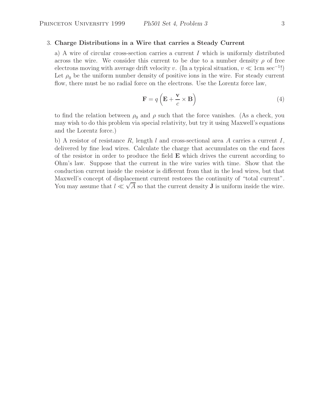## 3. **Charge Distributions in a Wire that carries a Steady Current**

a) A wire of circular cross-section carries a current  $I$  which is uniformly distributed across the wire. We consider this current to be due to a number density  $\rho$  of free electrons moving with average drift velocity v. (In a typical situation,  $v \ll 1$ cm sec<sup>-1</sup>!) Let  $\rho_0$  be the uniform number density of positive ions in the wire. For steady current flow, there must be no radial force on the electrons. Use the Lorentz force law,

$$
\mathbf{F} = q\left(\mathbf{E} + \frac{\mathbf{v}}{c} \times \mathbf{B}\right)
$$
 (4)

to find the relation between  $\rho_0$  and  $\rho$  such that the force vanishes. (As a check, you may wish to do this problem via special relativity, but try it using Maxwell's equations and the Lorentz force.)

b) A resistor of resistance R, length l and cross-sectional area A carries a current I, delivered by fine lead wires. Calculate the charge that accumulates on the end faces of the resistor in order to produce the field **E** which drives the current according to Ohm's law. Suppose that the current in the wire varies with time. Show that the conduction current inside the resistor is different from that in the lead wires, but that Maxwell's concept of displacement current restores the continuity of "total current". You may assume that  $l \ll \sqrt{A}$  so that the current density **J** is uniform inside the wire.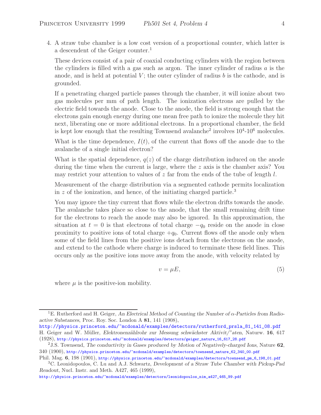4. A straw tube chamber is a low cost version of a proportional counter, which latter is a descendent of the Geiger counter.<sup>1</sup>

These devices consist of a pair of coaxial conducting cylinders with the region between the cylinders is filled with a gas such as argon. The inner cylinder of radius  $a$  is the anode, and is held at potential  $V$ ; the outer cylinder of radius  $b$  is the cathode, and is grounded.

If a penetrating charged particle passes through the chamber, it will ionize about two gas molecules per mm of path length. The ionization electrons are pulled by the electric field towards the anode. Close to the anode, the field is strong enough that the electrons gain enough energy during one mean free path to ionize the molecule they hit next, liberating one or more additional electrons. In a proportional chamber, the field is kept low enough that the resulting Townsend avalanche<sup>2</sup> involves  $10<sup>4</sup>$ -10<sup>6</sup> molecules.

What is the time dependence,  $I(t)$ , of the current that flows off the anode due to the avalanche of a single initial electron?

What is the spatial dependence,  $q(z)$  of the charge distribution induced on the anode during the time when the current is large, where the z axis is the chamber axis? You may restrict your attention to values of z far from the ends of the tube of length  $l$ .

Measurement of the charge distribution via a segmented cathode permits localization in  $z$  of the ionization, and hence, of the initiating charged particle.<sup>3</sup>

You may ignore the tiny current that flows while the electron drifts towards the anode. The avalanche takes place so close to the anode, that the small remaining drift time for the electrons to reach the anode may also be ignored. In this approximation, the situation at  $t = 0$  is that electrons of total charge  $-q_0$  reside on the anode in close proximity to positive ions of total charge  $+q_0$ . Current flows off the anode only when some of the field lines from the positive ions detach from the electrons on the anode, and extend to the cathode where charge is induced to terminate these field lines. This occurs only as the positive ions move away from the anode, with velocity related by

$$
v = \mu E,\tag{5}
$$

where  $\mu$  is the positive-ion mobility.

http://physics.princeton.edu/~mcdonald/examples/detectors/leonidopoulos\_nim\_a427\_465\_99.pdf

<sup>1</sup>E. Rutherford and H. Geiger, *An Electrical Method of Counting the Number of* α*-Particles from Radioactive Substances*, Proc. Roy. Soc. London A **81**, 141 (1908),

http://physics.princeton.edu/~mcdonald/examples/detectors/rutherford\_prsla\_81\_141\_08.pdf H. Geiger and W. M¨uller, *Elektronenz¨ahlrohr zur Messung schw¨achster Aktivit/"aten*, Naturw. **16**, 617 (1928), http://physics.princeton.edu/~mcdonald/examples/detectors/geiger\_naturw\_16\_617\_28.pdf

<sup>2</sup>J.S. Townsend, *The conductivity in Gases produced by Motion of Negatively-charged Ions*, Nature **62**, 340 (1900), http://physics.princeton.edu/~mcdonald/examples/detectors/townsend\_nature\_62\_340\_00.pdf

Phil. Mag.  $6, 198$  (1901), http://physics.princeton.edu/~mcdonald/examples/detectors/townsend\_pm\_6\_198\_01.pdf <sup>3</sup>C. Leonidopoulos, C. Lu and A.J. Schwartz, *Development of a Straw Tube Chamber with Pickup-Pad*

*Readout*, Nucl. Instr. and Meth. A427, 465 (1999),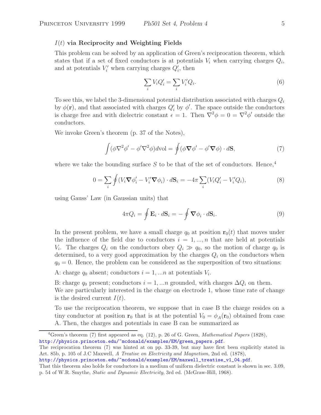### I(t) **via Reciprocity and Weighting Fields**

This problem can be solved by an application of Green's reciprocation theorem, which states that if a set of fixed conductors is at potentials  $V_i$  when carrying charges  $Q_i$ , and at potentials  $V_i'$  when carrying charges  $Q_i'$ , then

$$
\sum_{i} V_i Q_i' = \sum_{i} V_i' Q_i.
$$
\n<sup>(6)</sup>

To see this, we label the 3-dimensional potential distribution associated with charges  $Q_i$ by  $\phi(\mathbf{r})$ , and that associated with charges  $Q_i'$  by  $\phi'$ . The space outside the conductors is charge free and with dielectric constant  $\epsilon = 1$ . Then  $\vec{\nabla}^2 \phi = 0 = \nabla^2 \phi'$  outside the conductors.

We invoke Green's theorem (p. 37 of the Notes),

$$
\int (\phi \nabla^2 \phi' - \phi' \nabla^2 \phi) dvol = \oint (\phi \nabla \phi' - \phi' \nabla \phi) \cdot d\mathbf{S},\tag{7}
$$

where we take the bounding surface S to be that of the set of conductors. Hence,<sup>4</sup>

$$
0 = \sum_{i} \oint (V_i \nabla \phi'_i - V'_i \nabla \phi_i) \cdot d\mathbf{S}_i = -4\pi \sum_{i} (V_i Q'_i - V'_i Q_i), \tag{8}
$$

using Gauss' Law (in Gaussian units) that

$$
4\pi Q_i = \oint \mathbf{E}_i \cdot d\mathbf{S}_i = -\oint \nabla \phi_i \cdot d\mathbf{S}_i.
$$
 (9)

In the present problem, we have a small charge  $q_0$  at position  $\mathbf{r}_0(t)$  that moves under the influence of the field due to conductors  $i = 1, ..., n$  that are held at potentials  $V_i$ . The charges  $Q_i$  on the conductors obey  $Q_i \gg q_0$ , so the motion of charge  $q_0$  is determined, to a very good approximation by the charges  $Q_i$  on the conductors when  $q_0 = 0$ . Hence, the problem can be considered as the superposition of two situations:

A: charge  $q_0$  absent; conductors  $i = 1, \ldots n$  at potentials  $V_i$ .

B: charge  $q_0$  present; conductors  $i = 1, \ldots n$  grounded, with charges  $\Delta Q_i$  on them. We are particularly interested in the charge on electrode 1, whose time rate of change is the desired current  $I(t)$ .

To use the reciprocation theorem, we suppose that in case B the charge resides on a tiny conductor at position **r**<sub>0</sub> that is at the potential  $V_0 = \phi_A(\mathbf{r}_0)$  obtained from case A. Then, the charges and potentials in case B can be summarized as

The reciprocation theorem (7) was hinted at on pp. 33-39, but may have first been explicitly stated in Art. 85b, p. 105 of J.C Maxwell, *A Treatise on Electricity and Magnetism*, 2nd ed. (1878),

http://physics.princeton.edu/~mcdonald/examples/EM/maxwell\_treatise\_v1\_04.pdf.

<sup>4</sup>Green's theorem (7) first appeared as eq. (12), p. 26 of G. Green, *Mathematical Papers* (1828), http://physics.princeton.edu/~mcdonald/examples/EM/green\_papers.pdf.

That this theorem also holds for conductors in a medium of uniform dielectric constant is shown in sec. 3.09, p. 54 of W.R. Smythe, *Static and Dynamic Electricity*, 3rd ed. (McGraw-Hill, 1968).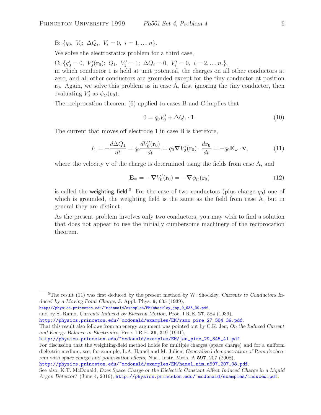B:  $\{q_0, V_0; \Delta Q_i, V_i = 0, i = 1, ..., n\}.$ 

We solve the electrostatics problem for a third case,

C:  $\{q'_0 = 0, V'_0(\mathbf{r}_0); Q_1, V'_1 = 1; \Delta Q_i = 0, V'_i = 0, i = 2, ..., n. \},\$ in which conductor 1 is held at unit potential, the charges on all other conductors at zero, and all other conductors are grounded except for the tiny conductor at position  $r_0$ . Again, we solve this problem as in case A, first ignoring the tiny conductor, then evaluating  $V'_0$  as  $\phi_C(\mathbf{r}_0)$ .

The reciprocation theorem (6) applied to cases B and C implies that

$$
0 = q_0 V'_0 + \Delta Q_1 \cdot 1. \tag{10}
$$

The current that moves off electrode 1 in case B is therefore,

$$
I_1 = -\frac{d\Delta Q_1}{dt} = q_0 \frac{dV'_0(\mathbf{r}_0)}{dt} = q_0 \nabla V'_0(\mathbf{r}_0) \cdot \frac{d\mathbf{r}_0}{dt} = -q_0 \mathbf{E}_w \cdot \mathbf{v},\tag{11}
$$

where the velocity **v** of the charge is determined using the fields from case A, and

$$
\mathbf{E}_{\rm w} = -\nabla V_0'(\mathbf{r}_0) = -\nabla \phi_C(\mathbf{r}_0)
$$
\n(12)

is called the weighting field.<sup>5</sup> For the case of two conductors (plus charge  $q_0$ ) one of which is grounded, the weighting field is the same as the field from case A, but in general they are distinct.

As the present problem involves only two conductors, you may wish to find a solution that does not appear to use the initially cumbersome machinery of the reciprocation theorem.

http://physics.princeton.edu/~mcdonald/examples/EM/shockley\_jap\_9\_635\_39.pdf,

and by S. Ramo, *Currents Induced by Electron Motion*, Proc. I.R.E. **27**, 584 (1939),

http://physics.princeton.edu/~mcdonald/examples/EM/jen\_pire\_29\_345\_41.pdf.

For discussion that the weighting-field method holds for multiple charges (space charge) and for a uniform dielectric medium, see, for example, L.A. Hamel and M. Julien, *Generalized demonstration of Ramo's theorem with space charge and polarization effects*, Nucl. Instr. Meth. A **597**, 207 (2008),

<sup>&</sup>lt;sup>5</sup>The result (11) was first deduced by the present method by W. Shockley, *Currents to Conductors Induced by a Moving Point Charge*, J. Appl. Phys. **9**, 635 (1939),

http://physics.princeton.edu/~mcdonald/examples/EM/ramo\_pire\_27\_584\_39.pdf.

That this result also follows from an energy argument was pointed out by C.K. Jen, *On the Induced Current and Energy Balance in Electronics*, Proc. I.R.E. **29**, 349 (1941),

http://physics.princeton.edu/~mcdonald/examples/EM/hamel\_nim\_a597\_207\_08.pdf.

See also, K.T. McDonald, *Does Space Charge or the Dielectric Constant Affect Induced Charge in a Liquid Argon Detector?* (June 4, 2016), http://physics.princeton.edu/~mcdonald/examples/induced.pdf.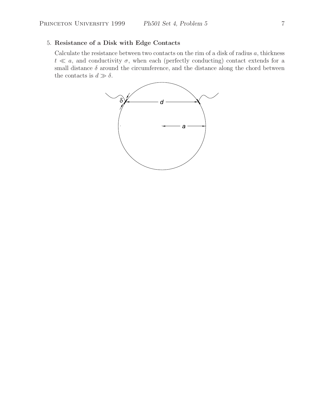## 5. **Resistance of a Disk with Edge Contacts**

Calculate the resistance between two contacts on the rim of a disk of radius  $a$ , thickness  $t \ll a$ , and conductivity  $\sigma$ , when each (perfectly conducting) contact extends for a small distance  $\delta$  around the circumference, and the distance along the chord between the contacts is  $d \gg \delta$ .

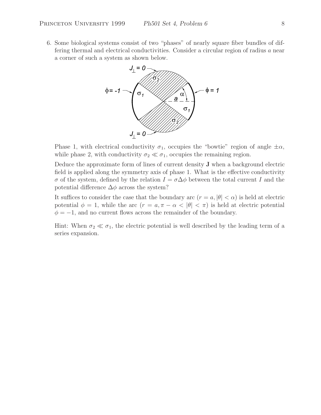6. Some biological systems consist of two "phases" of nearly square fiber bundles of differing thermal and electrical conductivities. Consider a circular region of radius a near a corner of such a system as shown below.



Phase 1, with electrical conductivity  $\sigma_1$ , occupies the "bowtie" region of angle  $\pm \alpha$ , while phase 2, with conductivity  $\sigma_2 \ll \sigma_1$ , occupies the remaining region.

Deduce the approximate form of lines of current density **J** when a background electric field is applied along the symmetry axis of phase 1. What is the effective conductivity σ of the system, defined by the relation  $I = σ\Delta\phi$  between the total current I and the potential difference  $\Delta\phi$  across the system?

It suffices to consider the case that the boundary arc  $(r = a, |\theta| < \alpha)$  is held at electric potential  $\phi = 1$ , while the arc  $(r = a, \pi - \alpha < |\theta| < \pi)$  is held at electric potential  $\phi = -1$ , and no current flows across the remainder of the boundary.

Hint: When  $\sigma_2 \ll \sigma_1$ , the electric potential is well described by the leading term of a series expansion.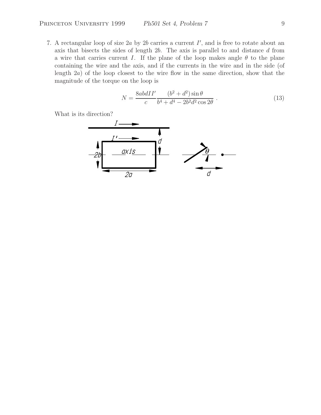7. A rectangular loop of size  $2a$  by  $2b$  carries a current  $I'$ , and is free to rotate about an axis that bisects the sides of length 2b. The axis is parallel to and distance d from a wire that carries current I. If the plane of the loop makes angle  $\theta$  to the plane containing the wire and the axis, and if the currents in the wire and in the side (of length 2a) of the loop closest to the wire flow in the same direction, show that the magnitude of the torque on the loop is

$$
N = \frac{8abdII'}{c} \frac{(b^2 + d^2)\sin\theta}{b^4 + d^4 - 2b^2d^2\cos 2\theta}.
$$
 (13)

What is its direction?

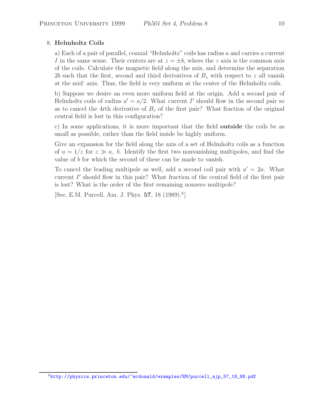## 8. **Helmholtz Coils**

a) Each of a pair of parallel, coaxial "Helmholtz" coils has radius  $a$  and carries a current I in the same sense. Their centers are at  $z = \pm b$ , where the z axis is the common axis of the coils. Calculate the magnetic field along the axis, and determine the separation 2b such that the first, second and third derivatives of  $B<sub>z</sub>$  with respect to z all vanish at the mid' axis. Thus, the field is very uniform at the center of the Helmholtz coils.

b) Suppose we desire an even more uniform field at the origin. Add a second pair of Helmholtz coils of radius  $a' = a/2$ . What current I' should flow in the second pair so as to cancel the 4rth derivative of  $B<sub>z</sub>$  of the first pair? What fraction of the original central field is lost in this configuration?

c) In some applications, it is more important that the field **outside** the coils be as small as possible, rather than the field inside be highly uniform.

Give an expansion for the field along the axis of a set of Helmholtz coils as a function of  $u = 1/z$  for  $z \gg a$ , b. Identify the first two nonvanishing multipoles, and find the value of b for which the second of these can be made to vanish.

To cancel the leading multipole as well, add a second coil pair with  $a' = 2a$ . What current  $I'$  should flow in this pair? What fraction of the central field of the first pair is lost? What is the order of the first remaining nonzero multipole?

[See, E.M. Purcell, Am. J. Phys. **57**, 18 (1989).<sup>6</sup>]

<sup>6</sup>http://physics.princeton.edu/~mcdonald/examples/EM/purcell\_ajp\_57\_18\_88.pdf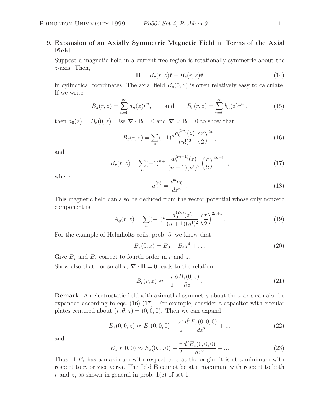## 9. **Expansion of an Axially Symmetric Magnetic Field in Terms of the Axial Field**

Suppose a magnetic field in a current-free region is rotationally symmetric about the z-axis. Then,

$$
\mathbf{B} = B_r(r, z)\hat{\mathbf{r}} + B_z(r, z)\hat{\mathbf{z}} \tag{14}
$$

in cylindrical coordinates. The axial field  $B_z(0, z)$  is often relatively easy to calculate. If we write

$$
B_z(r, z) = \sum_{n=0}^{\infty} a_n(z)r^n
$$
, and  $B_r(r, z) = \sum_{n=0}^{\infty} b_n(z)r^n$ , (15)

then  $a_0(z) = B_z(0, z)$ . Use  $\nabla \cdot \mathbf{B} = 0$  and  $\nabla \times \mathbf{B} = 0$  to show that

$$
B_z(r,z) = \sum_{n} (-1)^n \frac{a_0^{(2n)}(z)}{(n!)^2} \left(\frac{r}{2}\right)^{2n},\tag{16}
$$

and

$$
B_r(r,z) = \sum_{n} (-1)^{n+1} \frac{a_0^{(2n+1)}(z)}{(n+1)(n!)^2} \left(\frac{r}{2}\right)^{2n+1},\tag{17}
$$

where

$$
a_0^{(n)} = \frac{d^n a_0}{dz^n} \ . \tag{18}
$$

This magnetic field can also be deduced from the vector potential whose only nonzero component is

$$
A_{\phi}(r,z) = \sum_{n} (-1)^n \frac{a_0^{(2n)}(z)}{(n+1)(n!)^2} \left(\frac{r}{2}\right)^{2n+1}.
$$
 (19)

For the example of Helmholtz coils, prob. 5, we know that

$$
B_z(0, z) = B_0 + B_4 z^4 + \dots \tag{20}
$$

Give  $B_z$  and  $B_r$  correct to fourth order in r and z.

Show also that, for small  $r, \nabla \cdot \mathbf{B} = 0$  leads to the relation

$$
B_r(r,z) \approx -\frac{r}{2} \frac{\partial B_z(0,z)}{\partial z}.
$$
 (21)

**Remark.** An electrostatic field with azimuthal symmetry about the z axis can also be expanded according to eqs. (16)-(17). For example, consider a capacitor with circular plates centered about  $(r, \theta, z) = (0, 0, 0)$ . Then we can expand

$$
E_z(0,0,z) \approx E_z(0,0,0) + \frac{z^2}{2} \frac{d^2 E_z(0,0,0)}{dz^2} + \dots
$$
 (22)

and

$$
E_z(r,0,0) \approx E_z(0,0,0) - \frac{r}{2} \frac{d^2 E_z(0,0,0)}{dz^2} + \dots
$$
 (23)

Thus, if  $E_z$  has a maximum with respect to z at the origin, it is at a minimum with respect to  $r$ , or vice versa. The field  $\bf{E}$  cannot be at a maximum with respect to both r and z, as shown in general in prob.  $1(c)$  of set 1.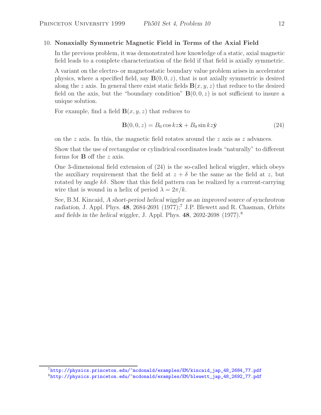## 10. **Nonaxially Symmetric Magnetic Field in Terms of the Axial Field**

In the previous problem, it was demonstrated how knowledge of a static, axial magnetic field leads to a complete characterization of the field if that field is axially symmetric.

A variant on the electro- or magnetostatic boundary value problem arises in accelerator physics, where a specified field, say  $\mathbf{B}(0,0,z)$ , that is not axially symmetric is desired along the z axis. In general there exist static fields  $\mathbf{B}(x, y, z)$  that reduce to the desired field on the axis, but the "boundary condition"  $\mathbf{B}(0,0,z)$  is not sufficient to insure a unique solution.

For example, find a field  $\mathbf{B}(x, y, z)$  that reduces to

$$
\mathbf{B}(0,0,z) = B_0 \cos kz \hat{\mathbf{x}} + B_0 \sin kz \hat{\mathbf{y}} \tag{24}
$$

on the z axis. In this, the magnetic field rotates around the z axis as z advances.

Show that the use of rectangular or cylindrical coordinates leads "naturally" to different forms for **B** off the z axis.

One 3-dimensional field extension of (24) is the so-called helical wiggler, which obeys the auxiliary requirement that the field at  $z + \delta$  be the same as the field at z, but rotated by angle  $k\delta$ . Show that this field pattern can be realized by a current-carrying wire that is wound in a helix of period  $\lambda = 2\pi/k$ .

See, B.M. Kincaid, *A short-period helical wiggler as an improved source of synchrotron radiation*, J. Appl. Phys. 48, 2684-2691 (1977);<sup>7</sup> J.P. Blewett and R. Chasman, *Orbits and fields in the helical wiggler*, J. Appl. Phys. **48**, 2692-2698 (1977).<sup>8</sup>

 $^{7}$ http://physics.princeton.edu/~mcdonald/examples/EM/kincaid\_jap\_48\_2684\_77.pdf <sup>8</sup>http://physics.princeton.edu/~mcdonald/examples/EM/blewett\_jap\_48\_2692\_77.pdf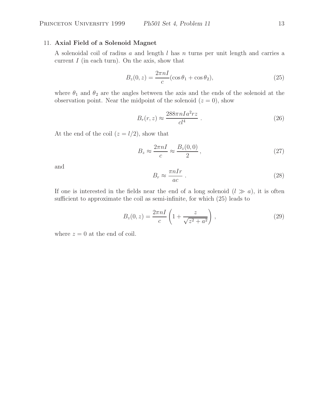## 11. **Axial Field of a Solenoid Magnet**

A solenoidal coil of radius a and length l has n turns per unit length and carries a current  $I$  (in each turn). On the axis, show that

$$
B_z(0, z) = \frac{2\pi nI}{c} (\cos \theta_1 + \cos \theta_2),\tag{25}
$$

where  $\theta_1$  and  $\theta_2$  are the angles between the axis and the ends of the solenoid at the observation point. Near the midpoint of the solenoid  $(z = 0)$ , show

$$
B_r(r,z) \approx \frac{288\pi n I a^2 rz}{cl^4} \ . \tag{26}
$$

At the end of the coil  $(z = l/2)$ , show that

$$
B_z \approx \frac{2\pi n}{c} \approx \frac{B_z(0,0)}{2},\qquad(27)
$$

and

$$
B_r \approx \frac{\pi n I r}{ac} \ . \tag{28}
$$

If one is interested in the fields near the end of a long solenoid  $(l \gg a)$ , it is often sufficient to approximate the coil as semi-infinite, for which (25) leads to

$$
B_z(0, z) = \frac{2\pi n I}{c} \left( 1 + \frac{z}{\sqrt{z^2 + a^2}} \right),
$$
\n(29)

where  $z = 0$  at the end of coil.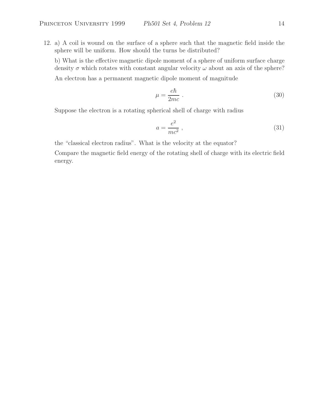12. a) A coil is wound on the surface of a sphere such that the magnetic field inside the sphere will be uniform. How should the turns be distributed?

b) What is the effective magnetic dipole moment of a sphere of uniform surface charge density  $\sigma$  which rotates with constant angular velocity  $\omega$  about an axis of the sphere? An electron has a permanent magnetic dipole moment of magnitude

$$
\mu = \frac{e\hbar}{2mc} \ . \tag{30}
$$

Suppose the electron is a rotating spherical shell of charge with radius

$$
a = \frac{e^2}{mc^2},\tag{31}
$$

the "classical electron radius". What is the velocity at the equator?

Compare the magnetic field energy of the rotating shell of charge with its electric field energy.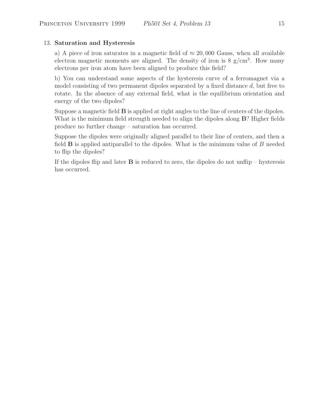## 13. **Saturation and Hysteresis**

a) A piece of iron saturates in a magnetic field of  $\approx 20,000$  Gauss, when all available electron magnetic moments are aligned. The density of iron is  $8 \text{ g/cm}^3$ . How many electrons per iron atom have been aligned to produce this field?

b) You can understand some aspects of the hysteresis curve of a ferromagnet via a model consisting of two permanent dipoles separated by a fixed distance d, but free to rotate. In the absence of any external field, what is the equilibrium orientation and energy of the two dipoles?

Suppose a magnetic field **B** is applied at right angles to the line of centers of the dipoles. What is the minimum field strength needed to align the dipoles along **B**? Higher fields produce no further change – saturation has occurred.

Suppose the dipoles were originally aligned parallel to their line of centers, and then a field **B** is applied antiparallel to the dipoles. What is the minimum value of B needed to flip the dipoles?

If the dipoles flip and later  $\bf{B}$  is reduced to zero, the dipoles do not unflip – hysteresis has occurred.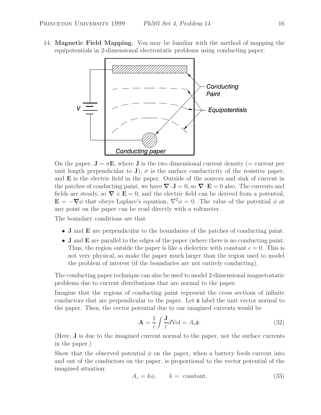14. **Magnetic Field Mapping.** You may be familiar with the method of mapping the equipotentials in 2-dimensional electrostatic problems using conducting paper:



On the paper,  $\mathbf{J} = \sigma \mathbf{E}$ , where **J** is the two dimensional current density (= current per unit length perpendicular to **J**),  $\sigma$  is the surface conductivity of the resistive paper, and **E** is the electric field in the paper. Outside of the sources and sink of current in the patches of conducting paint, we have  $\nabla \cdot \mathbf{J} = 0$ , so  $\nabla \cdot \mathbf{E} = 0$  also. The currents and fields are steady, so  $\nabla \times \mathbf{E} = 0$ , and the electric field can be derived from a potential,  $\mathbf{E} = -\nabla\phi$  that obeys Laplace's equation,  $\nabla^2\phi = 0$ . The value of the potential  $\phi$  at any point on the paper can be read directly with a voltmeter.

The boundary conditions are that

- **J** and **E** are perpendicular to the boundaries of the patches of conducting paint.
- **J** and **E** are parallel to the edges of the paper (where there is no conducting paint. Thus, the region outside the paper is like a dielectric with constant  $\epsilon = 0$ . This is not very physical, so make the paper much larger than the region used to model the problem of interest (if the boundaries are not entirely conducting).

The conducting paper technique can also be used to model 2-dimensional magnetostatic problems due to current distributions that are normal to the paper.

Imagine that the regions of conducting paint represent the cross sections of infinite conductors that are perpendicular to the paper. Let ˆ**z** label the unit vector normal to the paper. Then, the vector potential due to our imagined currents would be

$$
\mathbf{A} = \frac{1}{c} \int \frac{\mathbf{J}}{r} d\text{Vol} = A_z \hat{\mathbf{z}}.
$$
 (32)

(Here, **J** is due to the imagined current normal to the paper, not the surface currents in the paper.)

Show that the observed potential  $\phi$  on the paper, when a battery feeds current into and out of the conductors on the paper, is proportional to the vector potential of the imagined situation:

$$
A_z = k\phi, \qquad k = \text{ constant.} \tag{33}
$$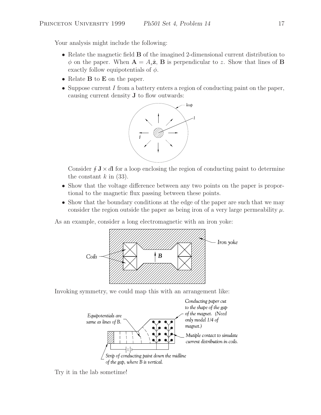Your analysis might include the following:

- Relate the magnetic field **B** of the imagined 2-dimensional current distribution to  $\phi$  on the paper. When  $\mathbf{A} = A_z \hat{\mathbf{z}}$ , **B** is perpendicular to z. Show that lines of **B** exactly follow equipotentials of  $\phi$ .
- Relate **B** to **E** on the paper.
- Suppose current  $I$  from a battery enters a region of conducting paint on the paper, causing current density **J** to flow outwards:



Consider  $\oint \mathbf{J} \times d\mathbf{l}$  for a loop enclosing the region of conducting paint to determine the constant  $k$  in (33).

- Show that the voltage difference between any two points on the paper is proportional to the magnetic flux passing between these points.
- Show that the boundary conditions at the edge of the paper are such that we may consider the region outside the paper as being iron of a very large permeability  $\mu$ .

As an example, consider a long electromagnetic with an iron yoke:



Invoking symmetry, we could map this with an arrangement like:



Try it in the lab sometime!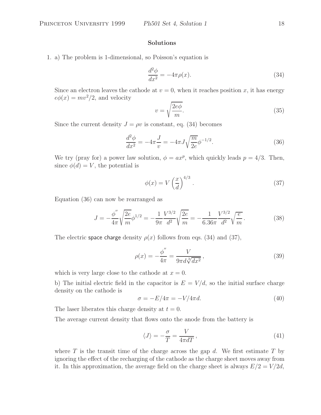## **Solutions**

1. a) The problem is 1-dimensional, so Poisson's equation is

$$
\frac{d^2\phi}{dx^2} = -4\pi\rho(x). \tag{34}
$$

Since an electron leaves the cathode at  $v = 0$ , when it reaches position x, it has energy  $e\phi(x) = mv^2/2$ , and velocity

$$
v = \sqrt{\frac{2e\phi}{m}}.\tag{35}
$$

Since the current density  $J = \rho v$  is constant, eq. (34) becomes

$$
\frac{d^2\phi}{dx^2} = -4\pi \frac{J}{v} = -4\pi J \sqrt{\frac{m}{2e}} \phi^{-1/2}.
$$
 (36)

We try (pray for) a power law solution,  $\phi = ax^p$ , which quickly leads  $p = 4/3$ . Then, since  $\phi(d) = V$ , the potential is

$$
\phi(x) = V \left(\frac{x}{d}\right)^{4/3}.\tag{37}
$$

Equation (36) can now be rearranged as

$$
J = -\frac{\phi''}{4\pi} \sqrt{\frac{2e}{m}} \phi^{1/2} = -\frac{1}{9\pi} \frac{V^{3/2}}{d^2} \sqrt{\frac{2e}{m}} = -\frac{1}{6.36\pi} \frac{V^{3/2}}{d^2} \sqrt{\frac{e}{m}}.
$$
 (38)

The electric space charge density  $\rho(x)$  follows from eqs. (34) and (37),

$$
\rho(x) = -\frac{\phi''}{4\pi} = \frac{V}{9\pi d \sqrt[3]{dx^2}},
$$
\n(39)

which is very large close to the cathode at  $x = 0$ .

b) The initial electric field in the capacitor is  $E = V/d$ , so the initial surface charge density on the cathode is

$$
\sigma = -E/4\pi = -V/4\pi d. \tag{40}
$$

The laser liberates this charge density at  $t = 0$ .

The average current density that flows onto the anode from the battery is

$$
\langle J \rangle = -\frac{\sigma}{T} = \frac{V}{4\pi dT},\qquad(41)
$$

where  $T$  is the transit time of the charge across the gap  $d$ . We first estimate  $T$  by ignoring the effect of the recharging of the cathode as the charge sheet moves away from it. In this approximation, the average field on the charge sheet is always  $E/2 = V/2d$ ,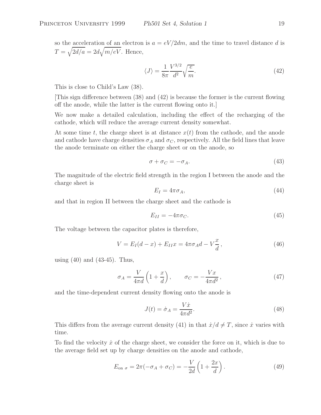so the acceleration of an electron is  $a = eV/2dm$ , and the time to travel distance d is  $T = \sqrt{2d/a} = 2d\sqrt{m/eV}$ . Hence,

$$
\langle J \rangle = \frac{1}{8\pi} \frac{V^{3/2}}{d^2} \sqrt{\frac{e}{m}}.\tag{42}
$$

This is close to Child's Law (38).

[This sign difference between (38) and (42) is because the former is the current flowing off the anode, while the latter is the current flowing onto it.]

We now make a detailed calculation, including the effect of the recharging of the cathode, which will reduce the average current density somewhat.

At some time t, the charge sheet is at distance  $x(t)$  from the cathode, and the anode and cathode have charge densities  $\sigma_A$  and  $\sigma_C$ , respectively. All the field lines that leave the anode terminate on either the charge sheet or on the anode, so

$$
\sigma + \sigma_C = -\sigma_A. \tag{43}
$$

The magnitude of the electric field strength in the region I between the anode and the charge sheet is

$$
E_I = 4\pi\sigma_A,\tag{44}
$$

and that in region II between the charge sheet and the cathode is

$$
E_{II} = -4\pi\sigma_C. \tag{45}
$$

The voltage between the capacitor plates is therefore,

$$
V = E_I(d - x) + E_{II}x = 4\pi\sigma_A d - V\frac{x}{d},
$$
\n(46)

using  $(40)$  and  $(43-45)$ . Thus,

$$
\sigma_A = \frac{V}{4\pi d} \left( 1 + \frac{x}{d} \right), \qquad \sigma_C = -\frac{Vx}{4\pi d^2}, \tag{47}
$$

and the time-dependent current density flowing onto the anode is

$$
J(t) = \dot{\sigma}_A = \frac{V\dot{x}}{4\pi d^2}.
$$
\n(48)

This differs from the average current density (41) in that  $\dot{x}/d \neq T$ , since  $\dot{x}$  varies with time.

To find the velocity  $\dot{x}$  of the charge sheet, we consider the force on it, which is due to the average field set up by charge densities on the anode and cathode,

$$
E_{\text{on }\sigma} = 2\pi(-\sigma_A + \sigma_C) = -\frac{V}{2d} \left( 1 + \frac{2x}{d} \right). \tag{49}
$$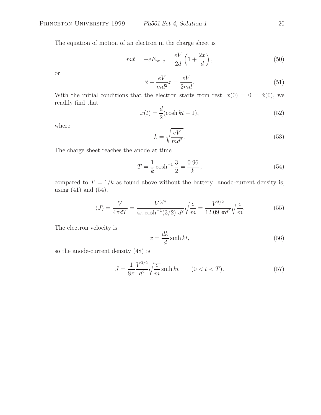The equation of motion of an electron in the charge sheet is

$$
m\ddot{x} = -eE_{\text{on }\sigma} = \frac{eV}{2d} \left( 1 + \frac{2x}{d} \right),\tag{50}
$$

or

$$
\ddot{x} - \frac{eV}{md^2}x = \frac{eV}{2md}.\tag{51}
$$

With the initial conditions that the electron starts from rest,  $x(0) = 0 = \dot{x}(0)$ , we readily find that

$$
x(t) = \frac{d}{2}(\cosh kt - 1),\tag{52}
$$

where

$$
k = \sqrt{\frac{eV}{md^2}}.\tag{53}
$$

The charge sheet reaches the anode at time

$$
T = \frac{1}{k} \cosh^{-1} \frac{3}{2} = \frac{0.96}{k},\tag{54}
$$

compared to  $T = 1/k$  as found above without the battery. anode-current density is, using  $(41)$  and  $(54)$ ,

$$
\langle J \rangle = \frac{V}{4\pi dT} = \frac{V^{3/2}}{4\pi \cosh^{-1}(3/2) d^2} \sqrt{\frac{e}{m}} = \frac{V^{3/2}}{12.09 \pi d^2} \sqrt{\frac{e}{m}}.
$$
 (55)

The electron velocity is

$$
\dot{x} = \frac{dk}{d}\sinh kt,\tag{56}
$$

so the anode-current density (48) is

$$
J = \frac{1}{8\pi} \frac{V^{3/2}}{d^2} \sqrt{\frac{e}{m}} \sinh kt \qquad (0 < t < T).
$$
 (57)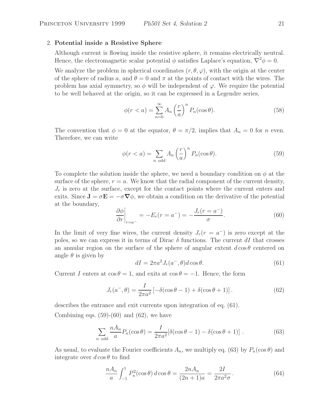#### 2. **Potential inside a Resistive Sphere**

Although current is flowing inside the resistive sphere, it remains electrically neutral. Hence, the electromagnetic scalar potential  $\phi$  satisfies Laplace's equation,  $\nabla^2 \phi = 0$ .

We analyze the problem in spherical coordinates  $(r, \theta, \varphi)$ , with the origin at the center of the sphere of radius a, and  $\theta = 0$  and  $\pi$  at the points of contact with the wires. The problem has axial symmetry, so  $\phi$  will be independent of  $\varphi$ . We require the potential to be well behaved at the origin, so it can be expressed in a Legendre series,

$$
\phi(r < a) = \sum_{n=0}^{\infty} A_n \left(\frac{r}{a}\right)^n P_n(\cos \theta). \tag{58}
$$

The convention that  $\phi = 0$  at the equator,  $\theta = \pi/2$ , implies that  $A_n = 0$  for n even. Therefore, we can write

$$
\phi(r < a) = \sum_{n \text{ odd}} A_n \left(\frac{r}{a}\right)^n P_n(\cos \theta). \tag{59}
$$

To complete the solution inside the sphere, we need a boundary condition on  $\phi$  at the surface of the sphere,  $r = a$ . We know that the radial component of the current density,  $J_r$  is zero at the surface, except for the contact points where the current enters and exits. Since  $J = \sigma E = -\sigma \nabla \phi$ , we obtain a condition on the derivative of the potential at the boundary,

$$
\left. \frac{\partial \phi}{\partial r} \right|_{r=a^-} = -E_r(r=a^-) = -\frac{J_r(r=a^-)}{\sigma}.
$$
\n(60)

In the limit of very fine wires, the current density  $J_r(r = a^-)$  is zero except at the poles, so we can express it in terms of Dirac  $\delta$  functions. The current dI that crosses an annular region on the surface of the sphere of angular extent  $d\cos\theta$  centered on angle  $\theta$  is given by

$$
dI = 2\pi a^2 J_r(a^-, \theta) d\cos\theta.
$$
 (61)

Current I enters at  $\cos \theta = 1$ , and exits at  $\cos \theta = -1$ . Hence, the form

$$
J_r(a^-, \theta) = \frac{I}{2\pi a^2} \left[ -\delta(\cos\theta - 1) + \delta(\cos\theta + 1) \right].
$$
 (62)

describes the entrance and exit currents upon integration of eq. (61).

Combining eqs.  $(59)-(60)$  and  $(62)$ , we have

$$
\sum_{n \text{ odd}} \frac{n A_n}{a} P_n(\cos \theta) = \frac{I}{2\pi a^2} [\delta(\cos \theta - 1) - \delta(\cos \theta + 1)] . \tag{63}
$$

As usual, to evaluate the Fourier coefficients  $A_n$ , we multiply eq. (63) by  $P_n(\cos \theta)$  and integrate over  $d\cos\theta$  to find

$$
\frac{nA_n}{a} \int_{-1}^{1} P_n^2(\cos \theta) \, d\cos \theta = \frac{2nA_n}{(2n+1)a} = \frac{2I}{2\pi a^2 \sigma}.
$$
\n(64)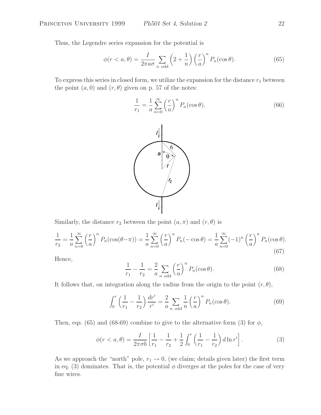Thus, the Legendre series expansion for the potential is

$$
\phi(r < a, \theta) = \frac{I}{2\pi a \sigma} \sum_{n \text{ odd}} \left(2 + \frac{1}{n}\right) \left(\frac{r}{a}\right)^n P_n(\cos \theta). \tag{65}
$$

To express this series in closed form, we utilize the expansion for the distance  $r_1$  between the point  $(a, 0)$  and  $(r, \theta)$  given on p. 57 of the notes:

$$
\frac{1}{r_1} = \frac{1}{a} \sum_{n=0}^{\infty} \left(\frac{r}{a}\right)^n P_n(\cos \theta),\tag{66}
$$



Similarly, the distance  $r_2$  between the point  $(a, \pi)$  and  $(r, \theta)$  is

$$
\frac{1}{r_2} = \frac{1}{a} \sum_{n=0}^{\infty} \left(\frac{r}{a}\right)^n P_n(\cos(\theta - \pi)) = \frac{1}{a} \sum_{n=0}^{\infty} \left(\frac{r}{a}\right)^n P_n(-\cos\theta) = \frac{1}{a} \sum_{n=0}^{\infty} (-1)^n \left(\frac{r}{a}\right)^n P_n(\cos\theta).
$$
\n(67)

Hence,

$$
\frac{1}{r_1} - \frac{1}{r_2} = \frac{2}{a} \sum_{n \text{ odd}} \left(\frac{r}{a}\right)^n P_n(\cos \theta). \tag{68}
$$

It follows that, on integration along the radius from the origin to the point  $(r, \theta)$ ,

$$
\int_0^r \left(\frac{1}{r_1} - \frac{1}{r_2}\right) \frac{dr'}{r'} = \frac{2}{a} \sum_{n \text{ odd}} \frac{1}{n} \left(\frac{r}{a}\right)^n P_n(\cos \theta). \tag{69}
$$

Then, eqs. (65) and (68-69) combine to give to the alternative form (3) for  $\phi$ ,

$$
\phi(r < a, \theta) = \frac{I}{2\pi\sigma b} \left[ \frac{1}{r_1} - \frac{1}{r_2} + \frac{1}{2} \int_0^r \left( \frac{1}{r_1} - \frac{1}{r_2} \right) d\ln r' \right].\tag{3}
$$

As we approach the "north" pole,  $r_1 \rightarrow 0$ , (we claim; details given later) the first term in eq. (3) dominates. That is, the potential  $\phi$  diverges at the poles for the case of very fine wires.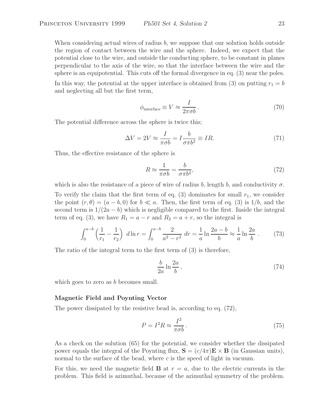When considering actual wires of radius  $b$ , we suppose that our solution holds outside the region of contact between the wire and the sphere. Indeed, we expect that the potential close to the wire, and outside the conducting sphere, to be constant in planes perpendicular to the axis of the wire, so that the interface between the wire and the sphere is an equipotential. This cuts off the formal divergence in eq. (3) near the poles.

In this way, the potential at the upper interface is obtained from (3) on putting  $r_1 = b$ and neglecting all but the first term,

$$
\phi_{\text{interface}} \equiv V \approx \frac{I}{2\pi\sigma b} \,. \tag{70}
$$

The potential difference across the sphere is twice this;

$$
\Delta V = 2V \approx \frac{I}{\pi \sigma b} = I \frac{b}{\sigma \pi b^2} \equiv IR.
$$
\n(71)

Thus, the effective resistance of the sphere is

$$
R \approx \frac{1}{\pi \sigma b} = \frac{b}{\sigma \pi b^2},\tag{72}
$$

which is also the resistance of a piece of wire of radius b, length b, and conductivity  $\sigma$ .

To verify the claim that the first term of eq.  $(3)$  dominates for small  $r_1$ , we consider the point  $(r, \theta)=(a - b, 0)$  for  $b \ll a$ . Then, the first term of eq. (3) is  $1/b$ , and the second term is  $1/(2a - b)$  which is negligible compared to the first. Inside the integral term of eq. (3), we have  $R_1 = a - r$  and  $R_2 = a + r$ , so the integral is

$$
\int_0^{a-b} \left(\frac{1}{r_1} - \frac{1}{r_2}\right) d\ln r = \int_0^{a-b} \frac{2}{a^2 - r^2} dr = \frac{1}{a} \ln \frac{2a - b}{b} \approx \frac{1}{a} \ln \frac{2a}{b} . \tag{73}
$$

The ratio of the integral term to the first term of (3) is therefore,

$$
\frac{b}{2a} \ln \frac{2a}{b},\tag{74}
$$

which goes to zero as b becomes small.

#### **Magnetic Field and Poynting Vector**

The power dissipated by the resistive bead is, according to eq. (72),

$$
P = I^2 R \approx \frac{I^2}{\pi \sigma b}.
$$
\n(75)

As a check on the solution (65) for the potential, we consider whether the dissipated power equals the integral of the Poynting flux,  $\mathbf{S} = (c/4\pi)\mathbf{E} \times \mathbf{B}$  (in Gaussian units), normal to the surface of the bead, where c is the speed of light in vacuum.

For this, we need the magnetic field **B** at  $r = a$ , due to the electric currents in the problem. This field is azimuthal, because of the azimuthal symmetry of the problem.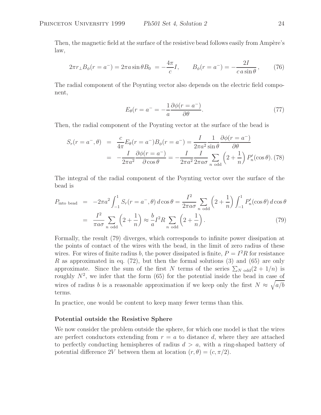Then, the magnetic field at the surface of the resistive bead follows easily from Ampère's law,

$$
2\pi r_{\perp} B_{\phi}(r = a^{-}) = 2\pi a \sin \theta B_{0} = -\frac{4\pi}{c} I, \qquad B_{\phi}(r = a^{-}) = -\frac{2I}{c \sin \theta}, \qquad (76)
$$

The radial component of the Poynting vector also depends on the electric field component,

$$
E_{\theta}(r = a^{-} = -\frac{1}{a} \frac{\partial \phi(r = a^{-})}{\partial \theta}.
$$
\n(77)

Then, the radial component of the Poynting vector at the surface of the bead is

$$
S_r(r = a^-, \theta) = \frac{c}{4\pi} E_\theta(r = a^-) B_\phi(r = a^-) = \frac{I}{2\pi a^2} \frac{1}{\sin \theta} \frac{\partial \phi(r = a^-)}{\partial \theta}
$$

$$
= -\frac{I}{2\pi a^2} \frac{\partial \phi(r = a^-)}{\partial \cos \theta} = -\frac{I}{2\pi a^2} \frac{I}{2\pi a \sigma} \sum_{n \text{ odd}} \left(2 + \frac{1}{n}\right) P'_n(\cos \theta). (78)
$$

The integral of the radial component of the Poynting vector over the surface of the bead is

$$
P_{\text{into bead}} = -2\pi a^2 \int_{-1}^1 S_r(r = a^-, \theta) d\cos\theta = \frac{I^2}{2\pi a\sigma} \sum_{n \text{ odd}} \left(2 + \frac{1}{n}\right) \int_{-1}^1 P'_n(\cos\theta) d\cos\theta
$$

$$
= \frac{I^2}{\pi a\sigma} \sum_{n \text{ odd}} \left(2 + \frac{1}{n}\right) \approx \frac{b}{a} I^2 R \sum_{n \text{ odd}} \left(2 + \frac{1}{n}\right). \tag{79}
$$

Formally, the result (79) diverges, which corresponds to infinite power dissipation at the points of contact of the wires with the bead, in the limit of zero radius of these wires. For wires of finite radius b, the power dissipated is finite,  $P = I^2 R$  for resistance R as approximated in eq.  $(72)$ , but then the formal solutions  $(3)$  and  $(65)$  are only approximate. Since the sum of the first N terms of the series  $\sum_{N \text{ odd}}(2+1/n)$  is roughly  $N^2$ , we infer that the form (65) for the potential inside the bead in case of wires of radius b is a reasonable approximation if we keep only the first  $N \approx \sqrt{a/b}$ terms.

In practice, one would be content to keep many fewer terms than this.

## **Potential outside the Resistive Sphere**

We now consider the problem outside the sphere, for which one model is that the wires are perfect conductors extending from  $r = a$  to distance d, where they are attached to perfectly conducting hemispheres of radius  $d > a$ , with a ring-shaped battery of potential difference 2V between them at location  $(r, \theta) = (c, \pi/2)$ .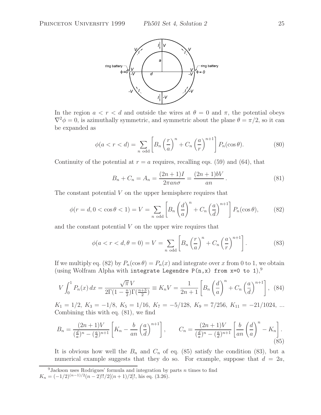

In the region  $a < r < d$  and outside the wires at  $\theta = 0$  and  $\pi$ , the potential obeys  $\nabla^2 \phi = 0$ , is azimuthally symmetric, and symmetric about the plane  $\theta = \pi/2$ , so it can be expanded as

$$
\phi(a < r < d) = \sum_{n \text{ odd}} \left[ B_n \left( \frac{r}{a} \right)^n + C_n \left( \frac{a}{r} \right)^{n+1} \right] P_n(\cos \theta). \tag{80}
$$

Continuity of the potential at  $r = a$  requires, recalling eqs. (59) and (64), that

$$
B_n + C_n = A_n = \frac{(2n+1)I}{2\pi a n \sigma} = \frac{(2n+1)bV}{an}.
$$
 (81)

The constant potential  $V$  on the upper hemisphere requires that

$$
\phi(r=d, 0 < \cos\theta < 1) = V = \sum_{n \text{ odd}} \left[ B_n \left( \frac{d}{a} \right)^n + C_n \left( \frac{a}{d} \right)^{n+1} \right] P_n(\cos\theta),\tag{82}
$$

and the constant potential  $V$  on the upper wire requires that

$$
\phi(a < r < d, \theta = 0) = V = \sum_{n \text{ odd}} \left[ B_n \left( \frac{r}{a} \right)^n + C_n \left( \frac{a}{r} \right)^{n+1} \right]. \tag{83}
$$

If we multiply eq. (82) by  $P_n(\cos \theta) = P_n(x)$  and integrate over x from 0 to 1, we obtain (using Wolfram Alpha with integrate Legendre P(n,x) from  $x=0$  to 1),<sup>9</sup>

$$
V \int_0^1 P_n(x) dx = \frac{\sqrt{\pi} V}{2\Gamma(1 - \frac{n}{2})\Gamma(\frac{n+3}{2})} \equiv K_n V = \frac{1}{2n+1} \left[ B_n \left( \frac{d}{a} \right)^n + C_n \left( \frac{a}{d} \right)^{n+1} \right], \tag{84}
$$

 $K_1 = 1/2, K_3 = -1/8, K_5 = 1/16, K_7 = -5/128, K_9 = 7/256, K_{11} = -21/1024, ...$ Combining this with eq. (81), we find

$$
B_n = \frac{(2n+1)V}{\left(\frac{d}{a}\right)^n - \left(\frac{a}{d}\right)^{n+1}} \left[K_n - \frac{b}{an}\left(\frac{a}{d}\right)^{n+1}\right], \qquad C_n = \frac{(2n+1)V}{\left(\frac{d}{a}\right)^n - \left(\frac{a}{d}\right)^{n+1}} \left[\frac{b}{an}\left(\frac{d}{a}\right)^n - K_n\right].
$$
\n(85)

It is obvious how well the  $B_n$  and  $C_n$  of eq. (85) satisfy the condition (83), but a numerical example suggests that they do so. For example, suppose that  $d = 2a$ ,

<sup>&</sup>lt;sup>9</sup> Jackson uses Rodrigues' formula and integration by parts n times to find  $K_n = (-1/2)^{(n-1)/2}(n-2)!!/2[(n+1)/2]!,$  his eq. (3.26).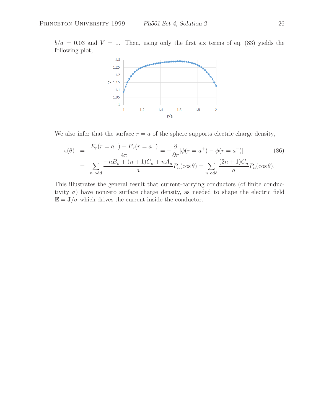$b/a = 0.03$  and  $V = 1$ . Then, using only the first six terms of eq. (83) yields the following plot,



We also infer that the surface  $r = a$  of the sphere supports electric charge density,

$$
\varsigma(\theta) = \frac{E_r(r = a^+) - E_r(r = a^-)}{4\pi} = -\frac{\partial}{\partial r}[\phi(r = a^+) - \phi(r = a^-)]
$$
(86)  

$$
= \sum_{n \text{ odd}} \frac{-nB_n + (n+1)C_n + nA_n}{a} P_n(\cos \theta) = \sum_{n \text{ odd}} \frac{(2n+1)C_n}{a} P_n(\cos \theta).
$$

This illustrates the general result that current-carrying conductors (of finite conductivity  $\sigma$ ) have nonzero surface charge density, as needed to shape the electric field  $\mathbf{E} = \mathbf{J}/\sigma$  which drives the current inside the conductor.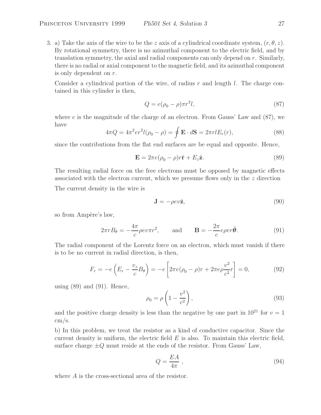3. a) Take the axis of the wire to be the z axis of a cylindrical coordinate system,  $(r, \theta, z)$ . By rotational symmetry, there is no azimuthal component to the electric field, and by translation symmetry, the axial and radial components can only depend on  $r$ . Similarly, there is no radial or axial component to the magnetic field, and its azimuthal component is only dependent on r.

Consider a cylindrical portion of the wire, of radius  $r$  and length  $l$ . The charge contained in this cylinder is then,

$$
Q = e(\rho_0 - \rho)\pi r^2 l,\tag{87}
$$

where  $e$  is the magnitude of the charge of an electron. From Gauss' Law and  $(87)$ , we have

$$
4\pi Q = 4\pi^2 er^2l(\rho_0 - \rho) = \oint \mathbf{E} \cdot d\mathbf{S} = 2\pi rlE_r(r),
$$
\n(88)

since the contributions from the flat end surfaces are be equal and opposite. Hence,

$$
\mathbf{E} = 2\pi e(\rho_0 - \rho)r\hat{\mathbf{r}} + E_z\hat{\mathbf{z}}.\tag{89}
$$

The resulting radial force on the free electrons must be opposed by magnetic effects associated with the electron current, which we presume flows only in the z direction

The current density in the wire is

$$
\mathbf{J} = -\rho ev \hat{\mathbf{z}},\tag{90}
$$

so from Ampère's law,

$$
2\pi r B_{\theta} = -\frac{4\pi}{c} \rho ev \pi r^2, \quad \text{and} \quad \mathbf{B} = -\frac{2\pi}{c} e \rho vr \hat{\theta}.
$$
 (91)

The radial component of the Lorentz force on an electron, which must vanish if there is to be no current in radial direction, is then,

$$
F_r = -e\left(E_r - \frac{v_z}{c}B_\theta\right) = -e\left[2\pi e(\rho_0 - \rho)r + 2\pi e\rho \frac{v^2}{c^2}r\right] = 0,\tag{92}
$$

using  $(89)$  and  $(91)$ . Hence,

$$
\rho_0 = \rho \left( 1 - \frac{v^2}{c^2} \right),\tag{93}
$$

and the positive charge density is less than the negative by one part in  $10^{21}$  for  $v = 1$ cm/s.

b) In this problem, we treat the resistor as a kind of conductive capacitor. Since the current density is uniform, the electric field  $E$  is also. To maintain this electric field, surface charge  $\pm Q$  must reside at the ends of the resistor. From Gauss' Law,

$$
Q = \frac{EA}{4\pi} \,,\tag{94}
$$

where A is the cross-sectional area of the resistor.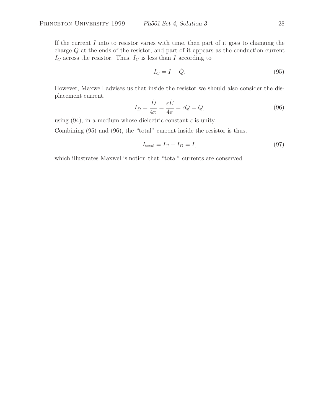If the current  $I$  into to resistor varies with time, then part of it goes to changing the charge Q at the ends of the resistor, and part of it appears as the conduction current  $I_C$  across the resistor. Thus,  $I_C$  is less than I according to

$$
I_C = I - \dot{Q}.\tag{95}
$$

However, Maxwell advises us that inside the resistor we should also consider the displacement current,

$$
I_D = \frac{\dot{D}}{4\pi} = \frac{\epsilon \dot{E}}{4\pi} = \epsilon \dot{Q} = \dot{Q},\qquad(96)
$$

using (94), in a medium whose dielectric constant  $\epsilon$  is unity.

Combining (95) and (96), the "total" current inside the resistor is thus,

$$
I_{\text{total}} = I_C + I_D = I,\tag{97}
$$

which illustrates Maxwell's notion that "total" currents are conserved.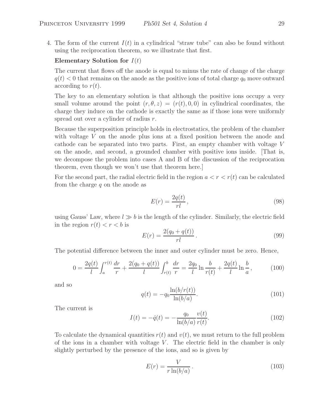4. The form of the current  $I(t)$  in a cylindrical "straw tube" can also be found without using the reciprocation theorem, so we illustrate that first.

## **Elementary Solution for**  $I(t)$

The current that flows off the anode is equal to minus the rate of change of the charge  $q(t) < 0$  that remains on the anode as the positive ions of total charge  $q_0$  move outward according to  $r(t)$ .

The key to an elementary solution is that although the positive ions occupy a very small volume around the point  $(r, \theta, z)=(r(t), 0, 0)$  in cylindrical coordinates, the charge they induce on the cathode is exactly the same as if those ions were uniformly spread out over a cylinder of radius r.

Because the superposition principle holds in electrostatics, the problem of the chamber with voltage V on the anode plus ions at a fixed position between the anode and cathode can be separated into two parts. First, an empty chamber with voltage V on the anode, and second, a grounded chamber with positive ions inside. [That is, we decompose the problem into cases A and B of the discussion of the reciprocation theorem, even though we won't use that theorem here.]

For the second part, the radial electric field in the region  $a < r < r(t)$  can be calculated from the charge q on the anode as

$$
E(r) = \frac{2q(t)}{rl},\tag{98}
$$

using Gauss' Law, where  $l \gg b$  is the length of the cylinder. Similarly, the electric field in the region  $r(t) < r < b$  is

$$
E(r) = \frac{2(q_0 + q(t))}{rl}.
$$
\n(99)

The potential difference between the inner and outer cylinder must be zero. Hence,

$$
0 = \frac{2q(t)}{l} \int_{a}^{r(t)} \frac{dr}{r} + \frac{2(q_0 + q(t))}{l} \int_{r(t)}^{b} \frac{dr}{r} = \frac{2q_0}{l} \ln \frac{b}{r(t)} + \frac{2q(t)}{l} \ln \frac{b}{a}, \quad (100)
$$

and so

$$
q(t) = -q_0 \frac{\ln(b/r(t))}{\ln(b/a)}.
$$
\n(101)

The current is

$$
I(t) = -\dot{q}(t) = -\frac{q_0}{\ln(b/a)} \frac{v(t)}{r(t)}.
$$
\n(102)

To calculate the dynamical quantities  $r(t)$  and  $v(t)$ , we must return to the full problem of the ions in a chamber with voltage  $V$ . The electric field in the chamber is only slightly perturbed by the presence of the ions, and so is given by

$$
E(r) = \frac{V}{r \ln(b/a)}.
$$
\n(103)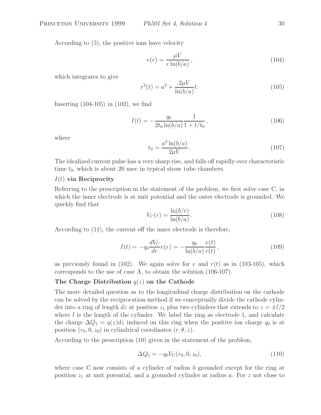According to (5), the positive ions have velocity

$$
v(r) = \frac{\mu V}{r \ln(b/a)},\tag{104}
$$

which integrates to give

$$
r^{2}(t) = a^{2} + \frac{2\mu V}{\ln(b/a)}t.
$$
\n(105)

Inserting (104-105) in (102), we find

$$
I(t) = -\frac{q_0}{2t_0 \ln(b/a)} \frac{1}{1 + t/t_0},\tag{106}
$$

where

$$
t_0 = \frac{a^2 \ln(b/a)}{2\mu V} \,. \tag{107}
$$

The idealized current pulse has a very sharp rise, and falls off rapidly over characteristic time  $t_0$ , which is about 20 nsec in typical straw tube chambers.

## I(t) **via Reciprocity**

Referring to the prescription in the statement of the problem, we first solve case C, in which the inner electrode is at unit potential and the outer electrode is grounded. We quickly find that

$$
V_C(r) = \frac{\ln(b/r)}{\ln(b/a)}.\tag{108}
$$

According to (11), the current off the inner electrode is therefore,

$$
I(t) = -q_0 \frac{dV_C}{dr} v(r) = -\frac{q_0}{\ln(b/a)} \frac{v(t)}{r(t)},
$$
\n(109)

as previously found in (102). We again solve for v and  $r(t)$  as in (103-105), which corresponds to the use of case A, to obtain the solution (106-107).

## **The Charge Distribution** q(z) **on the Cathode**

The more detailed question as to the longitudinal charge distribution on the cathode can be solved by the reciprocation method if we conceptually divide the cathode cylinder into a ring of length dz at position  $z_1$  plus two cylinders that extends to  $z = \pm l/2$ where  $l$  is the length of the cylinder. We label the ring as electrode 1, and calculate the charge  $\Delta Q_1 = q(z)dz$  induced on this ring when the positive ion charge  $q_0$  is at position  $(r_0, 0, z_0)$  in cylindrical coordinates  $(r, \theta, z)$ .

According to the prescription (10) given in the statement of the problem,

$$
\Delta Q_1 = -q_0 V_C(r_0, 0, z_0),\tag{110}
$$

where case C now consists of a cylinder of radius  $b$  grounded except for the ring at position  $z_1$  at unit potential, and a grounded cylinder at radius a. For z not close to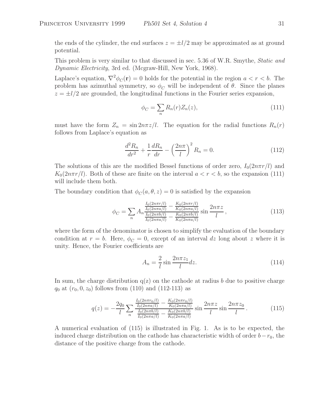the ends of the cylinder, the end surfaces  $z = \pm l/2$  may be approximated as at ground potential.

This problem is very similar to that discussed in sec. 5.36 of W.R. Smythe, *Static and Dynamic Electricity*, 3rd ed. (Mcgraw-Hill, New York, 1968).

Laplace's equation,  $\nabla^2 \phi_C(\mathbf{r}) = 0$  holds for the potential in the region  $a < r < b$ . The problem has azimuthal symmetry, so  $\phi_C$  will be independent of  $\theta$ . Since the planes  $z = \pm l/2$  are grounded, the longitudinal functions in the Fourier series expansion,

$$
\phi_C = \sum_n R_n(r) Z_n(z),\tag{111}
$$

must have the form  $Z_n = \sin 2n\pi z/l$ . The equation for the radial functions  $R_n(r)$ follows from Laplace's equation as

$$
\frac{d^2 R_n}{dr^2} + \frac{1}{r} \frac{dR_n}{dr} - \left(\frac{2n\pi}{l}\right)^2 R_n = 0.
$$
 (112)

The solutions of this are the modified Bessel functions of order zero,  $I_0(2n\pi r/l)$  and  $K_0(2n\pi r/l)$ . Both of these are finite on the interval  $a < r < b$ , so the expansion (111) will include them both.

The boundary condition that  $\phi_C(a, \theta, z) = 0$  is satisfied by the expansion

$$
\phi_C = \sum_n A_n \frac{\frac{I_0(2n\pi r/l)}{I_0(2n\pi a/l)} - \frac{K_0(2n\pi r/l)}{K_0(2n\pi a/l)}}{\frac{I_0(2n\pi b/l)}{I_0(2n\pi a/l)} - \frac{K_0(2n\pi b/l)}{K_0(2n\pi a/l)}} \sin \frac{2n\pi z}{l},
$$
\n(113)

where the form of the denominator is chosen to simplify the evaluation of the boundary condition at  $r = b$ . Here,  $\phi_C = 0$ , except of an interval dz long about z where it is unity. Hence, the Fourier coefficients are

$$
A_n = \frac{2}{l} \sin \frac{2n\pi z_1}{l} dz.
$$
\n(114)

In sum, the charge distribution  $q(z)$  on the cathode at radius b due to positive charge  $q_0$  at  $(r_0, 0, z_0)$  follows from (110) and (112-113) as

$$
q(z) = -\frac{2q_0}{l} \sum_n \frac{\frac{I_0(2n\pi r_0/l)}{I_0(2n\pi a/l)} - \frac{K_0(2n\pi r_0/l)}{K_0(2n\pi a/l)}}{\frac{I_0(2n\pi b/l)}{I_0(2n\pi a/l)} - \frac{K_0(2n\pi b/l)}{K_0(2n\pi a/l)}} \sin \frac{2n\pi z}{l} \sin \frac{2n\pi z_0}{l}.
$$
 (115)

A numerical evaluation of (115) is illustrated in Fig. 1. As is to be expected, the induced charge distribution on the cathode has characteristic width of order  $b-r_0$ , the distance of the positive charge from the cathode.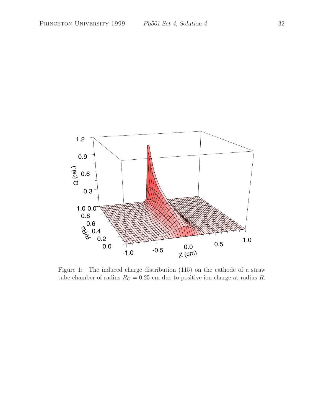

Figure 1: The induced charge distribution (115) on the cathode of a straw tube chamber of radius  $R_C = 0.25$  cm due to positive ion charge at radius R.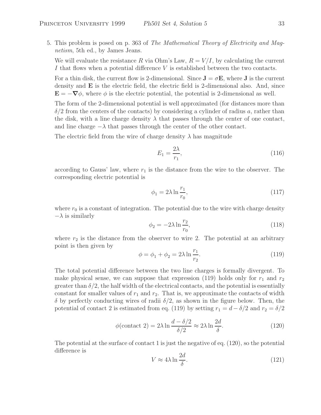5. This problem is posed on p. 363 of *The Mathematical Theory of Electricity and Magnetism*, 5th ed., by James Jeans.

We will evaluate the resistance R via Ohm's Law,  $R = V/I$ , by calculating the current I that flows when a potential difference V is established between the two contacts.

For a thin disk, the current flow is 2-dimensional. Since  $J = \sigma E$ , where J is the current density and **E** is the electric field, the electric field is 2-dimensional also. And, since  $\mathbf{E} = -\nabla \phi$ , where  $\phi$  is the electric potential, the potential is 2-dimensional as well.

The form of the 2-dimensional potential is well approximated (for distances more than  $\delta/2$  from the centers of the contacts) by considering a cylinder of radius a, rather than the disk, with a line charge density  $\lambda$  that passes through the center of one contact, and line charge  $-\lambda$  that passes through the center of the other contact.

The electric field from the wire of charge density  $\lambda$  has magnitude

$$
E_1 = \frac{2\lambda}{r_1},\tag{116}
$$

according to Gauss' law, where  $r_1$  is the distance from the wire to the observer. The corresponding electric potential is

$$
\phi_1 = 2\lambda \ln \frac{r_1}{r_0},\tag{117}
$$

where  $r_0$  is a constant of integration. The potential due to the wire with charge density  $-\lambda$  is similarly

$$
\phi_2 = -2\lambda \ln \frac{r_2}{r_0},\tag{118}
$$

where  $r_2$  is the distance from the observer to wire 2. The potential at an arbitrary point is then given by

$$
\phi = \phi_1 + \phi_2 = 2\lambda \ln \frac{r_1}{r_2}.
$$
\n(119)

The total potential difference between the two line charges is formally divergent. To make physical sense, we can suppose that expression (119) holds only for  $r_1$  and  $r_2$ greater than  $\delta/2$ , the half width of the electrical contacts, and the potential is essentially constant for smaller values of  $r_1$  and  $r_2$ . That is, we approximate the contacts of width  $\delta$  by perfectly conducting wires of radii  $\delta/2$ , as shown in the figure below. Then, the potential of contact 2 is estimated from eq. (119) by setting  $r_1 = d - \delta/2$  and  $r_2 = \delta/2$ 

$$
\phi(\text{contact 2}) = 2\lambda \ln \frac{d - \delta/2}{\delta/2} \approx 2\lambda \ln \frac{2d}{\delta}.\tag{120}
$$

The potential at the surface of contact 1 is just the negative of eq. (120), so the potential difference is

$$
V \approx 4\lambda \ln \frac{2d}{\delta}.\tag{121}
$$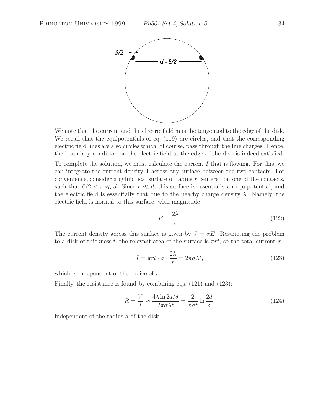

We note that the current and the electric field must be tangential to the edge of the disk. We recall that the equipotentials of eq.  $(119)$  are circles, and that the corresponding electric field lines are also circles which, of course, pass through the line charges. Hence, the boundary condition on the electric field at the edge of the disk is indeed satisfied.

To complete the solution, we must calculate the current  $I$  that is flowing. For this, we can integrate the current density **J** across any surface between the two contacts. For convenience, consider a cylindrical surface of radius r centered on one of the contacts, such that  $\delta/2 < r \ll d$ . Since  $r \ll d$ , this surface is essentially an equipotential, and the electric field is essentially that due to the nearby charge density  $\lambda$ . Namely, the electric field is normal to this surface, with magnitude

$$
E = \frac{2\lambda}{r}.\tag{122}
$$

The current density across this surface is given by  $J = \sigma E$ . Restricting the problem to a disk of thickness t, the relevant area of the surface is  $\pi rt$ , so the total current is

$$
I = \pi r t \cdot \sigma \cdot \frac{2\lambda}{r} = 2\pi \sigma \lambda t,\tag{123}
$$

which is independent of the choice of  $r$ .

Finally, the resistance is found by combining eqs. (121) and (123):

$$
R = \frac{V}{I} \approx \frac{4\lambda \ln 2d/\delta}{2\pi \sigma \lambda t} = \frac{2}{\pi \sigma t} \ln \frac{2d}{\delta},\tag{124}
$$

independent of the radius a of the disk.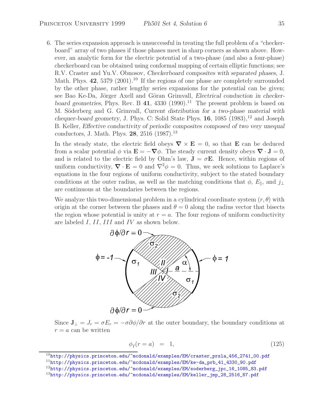6. The series expansion approach is unsuccessful in treating the full problem of a "checkerboard" array of two phases if those phases meet in sharp corners as shown above. However, an analytic form for the electric potential of a two-phase (and also a four-phase) checkerboard can be obtained using conformal mapping of certain elliptic functions; see R.V. Craster and Yu.V. Obnosov, *Checkerboard composites with separated phases*, J. Math. Phys. 42, 5379 (2001).<sup>10</sup> If the regions of one phase are completely surrounded by the other phase, rather lengthy series expansions for the potential can be given; see Bao Ke-Da, Jörger Axell and Göran Grimvall, *Electrical conduction in checkerboard geometries*, Phys. Rev. B  $41$ ,  $4330$  (1990).<sup>11</sup> The present problem is based on M. Söderberg and G. Grimvall, *Current distribution for a two-phase material with chequer-board geometry*, J. Phys. C: Solid State Phys. **16**, 1085 (1983),<sup>12</sup> and Joseph B. Keller, *Effective conductivity of periodic composites composed of two very unequal conductors*, J. Math. Phys. **28**, 2516 (1987).<sup>13</sup>

In the steady state, the electric field obeys  $\nabla \times \mathbf{E} = 0$ , so that **E** can be deduced from a scalar potential  $\phi$  via  $\mathbf{E} = -\nabla \phi$ . The steady current density obeys  $\nabla \cdot \mathbf{J} = 0$ , and is related to the electric field by Ohm's law,  $J = \sigma E$ . Hence, within regions of uniform conductivity,  $\nabla \cdot \mathbf{E} = 0$  and  $\nabla^2 \phi = 0$ . Thus, we seek solutions to Laplace's equations in the four regions of uniform conductivity, subject to the stated boundary conditions at the outer radius, as well as the matching conditions that  $\phi$ ,  $E_{\parallel}$ , and  $j_{\perp}$ are continuous at the boundaries between the regions.

We analyze this two-dimensional problem in a cylindrical coordinate system  $(r, \theta)$  with origin at the corner between the phases and  $\theta = 0$  along the radius vector that bisects the region whose potential is unity at  $r = a$ . The four regions of uniform conductivity are labeled I, II, III and IV as shown below.



Since  $\mathbf{J}_{\perp} = J_r = \sigma E_r = -\sigma \partial \phi / \partial r$  at the outer boundary, the boundary conditions at  $r = a$  can be written

$$
\phi_I(r=a) = 1,\tag{125}
$$

<sup>10</sup>http://physics.princeton.edu/~mcdonald/examples/EM/craster\_prsla\_456\_2741\_00.pdf <sup>11</sup>http://physics.princeton.edu/~mcdonald/examples/EM/ke-da\_prb\_41\_4330\_90.pdf

<sup>&</sup>lt;sup>12</sup>http://physics.princeton.edu/~mcdonald/examples/EM/soderberg\_jpc\_16\_1085\_83.pdf

<sup>13</sup>http://physics.princeton.edu/~mcdonald/examples/EM/keller\_jmp\_28\_2516\_87.pdf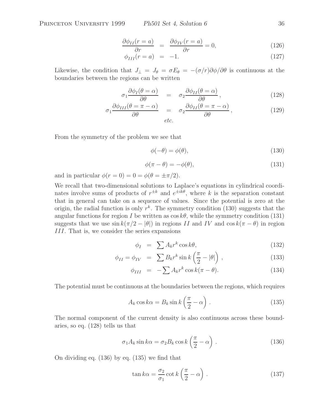$$
\frac{\partial \phi_{II}(r=a)}{\partial r} = \frac{\partial \phi_{IV}(r=a)}{\partial r} = 0, \qquad (126)
$$

$$
\phi_{III}(r = a) = -1. \tag{127}
$$

Likewise, the condition that  $J_{\perp} = J_{\theta} = \sigma E_{\theta} = -(\sigma/r)\partial \phi/\partial \theta$  is continuous at the boundaries between the regions can be written

$$
\sigma_1 \frac{\partial \phi_I(\theta = \alpha)}{\partial \theta} = \sigma_2 \frac{\partial \phi_{II}(\theta = \alpha)}{\partial \theta}, \qquad (128)
$$

$$
\sigma_1 \frac{\partial \phi_{III}(\theta = \pi - \alpha)}{\partial \theta} = \sigma_2 \frac{\partial \phi_{II}(\theta = \pi - \alpha)}{\partial \theta},
$$
\n(129)

From the symmetry of the problem we see that

$$
\phi(-\theta) = \phi(\theta),\tag{130}
$$

$$
\phi(\pi - \theta) = -\phi(\theta),\tag{131}
$$

and in particular  $\phi(r=0) = 0 = \phi(\theta = \pm \pi/2)$ .

We recall that two-dimensional solutions to Laplace's equations in cylindrical coordinates involve sums of products of  $r^{\pm k}$  and  $e^{\pm i\hat{k}\theta}$ , where k is the separation constant that in general can take on a sequence of values. Since the potential is zero at the origin, the radial function is only  $r^k$ . The symmetry condition (130) suggests that the angular functions for region I be written as  $\cos k\theta$ , while the symmetry condition (131) suggests that we use  $\sin k(\pi/2 - |\theta|)$  in regions II and IV and  $\cos k(\pi - \theta)$  in region III. That is, we consider the series expansions

$$
\phi_I = \sum A_k r^k \cos k\theta,\tag{132}
$$

$$
\phi_{II} = \phi_{IV} = \sum B_k r^k \sin k \left( \frac{\pi}{2} - |\theta| \right), \qquad (133)
$$

$$
\phi_{III} = -\sum A_k r^k \cos k(\pi - \theta). \tag{134}
$$

The potential must be continuous at the boundaries between the regions, which requires

$$
A_k \cos k\alpha = B_k \sin k \left(\frac{\pi}{2} - \alpha\right). \tag{135}
$$

The normal component of the current density is also continuous across these boundaries, so eq. (128) tells us that

$$
\sigma_1 A_k \sin k\alpha = \sigma_2 B_k \cos k \left(\frac{\pi}{2} - \alpha\right). \tag{136}
$$

On dividing eq. (136) by eq. (135) we find that

$$
\tan k\alpha = \frac{\sigma_2}{\sigma_1} \cot k \left(\frac{\pi}{2} - \alpha\right). \tag{137}
$$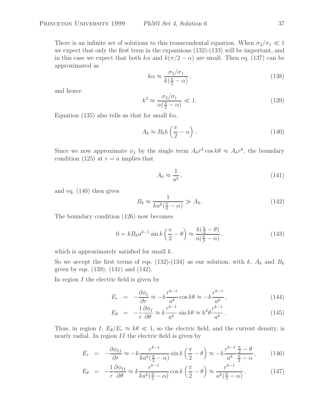There is an infinite set of solutions to this transcendental equation. When  $\sigma_2/\sigma_1 \ll 1$ we expect that only the first term in the expansions  $(132)-(133)$  will be important, and in this case we expect that both  $k\alpha$  and  $k(\pi/2 - \alpha)$  are small. Then eq. (137) can be approximated as

$$
k\alpha \approx \frac{\sigma_2/\sigma_1}{k(\frac{\pi}{2} - \alpha)},\tag{138}
$$

and hence

$$
k^2 \approx \frac{\sigma_2/\sigma_1}{\alpha(\frac{\pi}{2} - \alpha)} \ll 1. \tag{139}
$$

Equation (135) also tells us that for small  $k\alpha$ ,

$$
A_k \approx B_k k \left(\frac{\pi}{2} - \alpha\right). \tag{140}
$$

Since we now approximate  $\phi_I$  by the single term  $A_k r^k \cos k\theta \approx A_k r^k$ , the boundary condition (125) at  $r = a$  implies that

$$
A_k \approx \frac{1}{a^k},\tag{141}
$$

and eq. (140) then gives

$$
B_k \approx \frac{1}{ka^k(\frac{\pi}{2} - \alpha)} \gg A_k. \tag{142}
$$

The boundary condition (126) now becomes

$$
0 = kB_k a^{k-1} \sin k \left(\frac{\pi}{2} - \theta\right) \approx \frac{k\left(\frac{\pi}{2} - \theta\right)}{a\left(\frac{\pi}{2} - \alpha\right)},\tag{143}
$$

which is approximately satisfied for small  $k$ .

So we accept the first terms of eqs. (132)-(134) as our solution, with k,  $A_k$  and  $B_k$ given by eqs. (139), (141) and (142).

In region  $I$  the electric field is given by

$$
E_r = -\frac{\partial \phi_I}{\partial r} \approx -k \frac{r^{k-1}}{a^k} \cos k\theta \approx -k \frac{r^{k-1}}{a^k},\tag{144}
$$

$$
E_{\theta} = -\frac{1}{r} \frac{\partial \phi_I}{\partial \theta} \approx k \frac{r^{k-1}}{a^k} \sin k\theta \approx k^2 \theta \frac{r^{k-1}}{a^k}.
$$
 (145)

Thus, in region I,  $E_{\theta}/E_r \approx k\theta \ll 1$ , so the electric field, and the current density, is nearly radial. In region II the electric field is given by

$$
E_r = -\frac{\partial \phi_{II}}{\partial r} \approx -k \frac{r^{k-1}}{k a^k \left(\frac{\pi}{2} - \alpha\right)} \sin k \left(\frac{\pi}{2} - \theta\right) \approx -k \frac{r^{k-1}}{a^k} \frac{\frac{\pi}{2} - \theta}{\frac{\pi}{2} - \alpha},\qquad(146)
$$

$$
E_{\theta} = -\frac{1}{r} \frac{\partial \phi_{II}}{\partial \theta} \approx k \frac{r^{k-1}}{k a^k (\frac{\pi}{2} - \alpha)} \cos k \left(\frac{\pi}{2} - \theta\right) \approx \frac{r^{k-1}}{a^k (\frac{\pi}{2} - \alpha)}.
$$
 (147)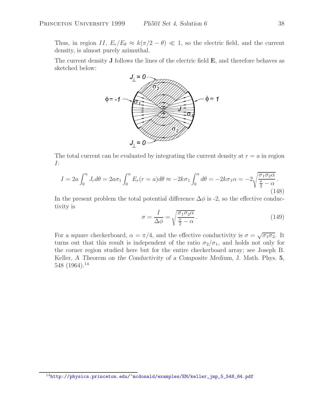Thus, in region II,  $E_r/E_\theta \approx k(\pi/2 - \theta) \ll 1$ , so the electric field, and the current density, is almost purely azimuthal.

The current density **J** follows the lines of the electric field **E**, and therefore behaves as sketched below:



The total current can be evaluated by integrating the current density at  $r = a$  in region I:

$$
I = 2a \int_0^{\alpha} J_r d\theta = 2a\sigma_1 \int_0^{\alpha} E_r(r=a) d\theta \approx -2k\sigma_1 \int_0^{\alpha} d\theta = -2k\sigma_1 \alpha = -2\sqrt{\frac{\sigma_1 \sigma_2 \alpha}{\frac{\pi}{2} - \alpha}}.
$$
\n(148)

In the present problem the total potential difference  $\Delta\phi$  is -2, so the effective conductivity is

$$
\sigma = \frac{I}{\Delta \phi} = \sqrt{\frac{\sigma_1 \sigma_2 \alpha}{\frac{\pi}{2} - \alpha}}.
$$
\n(149)

For a square checkerboard,  $\alpha = \pi/4$ , and the effective conductivity is  $\sigma = \sqrt{\sigma_1 \sigma_2}$ . It turns out that this result is independent of the ratio  $\sigma_2/\sigma_1$ , and holds not only for the corner region studied here but for the entire checkerboard array; see Joseph B. Keller, *A Theorem on the Conductivity of a Composite Medium*, J. Math. Phys. **5**, 548 (1964).<sup>14</sup>

<sup>14</sup>http://physics.princeton.edu/~mcdonald/examples/EM/keller\_jmp\_5\_548\_64.pdf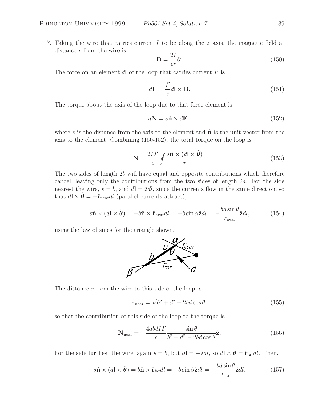7. Taking the wire that carries current  $I$  to be along the z axis, the magnetic field at distance r from the wire is

$$
\mathbf{B} = \frac{2I}{cr}\hat{\boldsymbol{\theta}}.\tag{150}
$$

The force on an element  $d\mathbf{l}$  of the loop that carries current  $I'$  is

$$
d\mathbf{F} = \frac{I'}{c} d\mathbf{l} \times \mathbf{B}.
$$
 (151)

The torque about the axis of the loop due to that force element is

$$
d\mathbf{N} = s\hat{\mathbf{n}} \times d\mathbf{F} \tag{152}
$$

where s is the distance from the axis to the element and  $\hat{\mathbf{n}}$  is the unit vector from the axis to the element. Combining (150-152), the total torque on the loop is

$$
\mathbf{N} = \frac{2II'}{c} \oint \frac{s\hat{\mathbf{n}} \times (d\mathbf{l} \times \hat{\boldsymbol{\theta}})}{r}.
$$
 (153)

The two sides of length 2b will have equal and opposite contributions which therefore cancel, leaving only the contributions from the two sides of length 2a. For the side nearest the wire,  $s = b$ , and  $d\mathbf{l} = \hat{\mathbf{z}}dl$ , since the currents flow in the same direction, so that  $d\mathbf{l} \times \hat{\boldsymbol{\theta}} = -\hat{\mathbf{r}}_{\text{near}} dl$  (parallel currents attract),

$$
s\hat{\mathbf{n}} \times (d\mathbf{l} \times \hat{\boldsymbol{\theta}}) = -b\hat{\mathbf{n}} \times \hat{\mathbf{r}}_{\text{near}} dl = -b\sin\alpha \hat{\mathbf{z}} dl = -\frac{bd\sin\theta}{r_{\text{near}}}\hat{\mathbf{z}} dl,
$$
 (154)

using the law of sines for the triangle shown.



The distance  $r$  from the wire to this side of the loop is

$$
r_{\text{near}} = \sqrt{b^2 + d^2 - 2bd \cos \theta},\tag{155}
$$

so that the contribution of this side of the loop to the torque is

$$
\mathbf{N}_{\text{near}} = -\frac{4abdlI'}{c} \frac{\sin \theta}{b^2 + d^2 - 2bd \cos \theta} \hat{\mathbf{z}}.\tag{156}
$$

For the side furthest the wire, again  $s = b$ , but  $d\mathbf{l} = -\hat{\mathbf{z}}dl$ , so  $d\mathbf{l} \times \hat{\boldsymbol{\theta}} = \hat{\mathbf{r}}_{\text{far}}dl$ . Then,

$$
s\hat{\mathbf{n}} \times (d\mathbf{l} \times \hat{\boldsymbol{\theta}}) = b\hat{\mathbf{n}} \times \hat{\mathbf{r}}_{\text{far}} dl = -b\sin\beta \hat{\mathbf{z}} dl = -\frac{bd\sin\theta}{r_{\text{far}}}\hat{\mathbf{z}} dl. \tag{157}
$$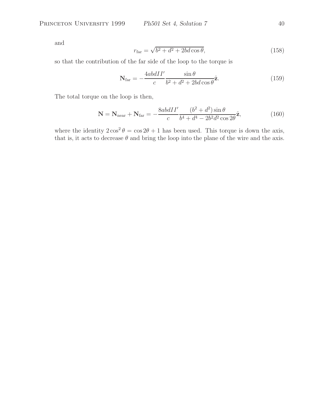and

$$
r_{\text{far}} = \sqrt{b^2 + d^2 + 2bd \cos \theta},\tag{158}
$$

so that the contribution of the far side of the loop to the torque is

$$
\mathbf{N}_{\text{far}} = -\frac{4ab dII'}{c} \frac{\sin \theta}{b^2 + d^2 + 2bd \cos \theta} \hat{\mathbf{z}}.\tag{159}
$$

The total torque on the loop is then,

$$
\mathbf{N} = \mathbf{N}_{\text{near}} + \mathbf{N}_{\text{far}} = -\frac{8abdII'}{c} \frac{(b^2 + d^2)\sin\theta}{b^4 + d^4 - 2b^2d^2\cos 2\theta} \hat{\mathbf{z}},\tag{160}
$$

where the identity  $2\cos^2\theta = \cos 2\theta + 1$  has been used. This torque is down the axis, that is, it acts to decrease  $\theta$  and bring the loop into the plane of the wire and the axis.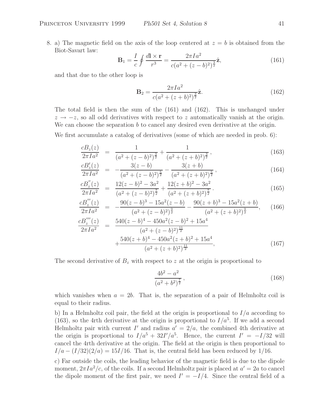8. a) The magnetic field on the axis of the loop centered at  $z = b$  is obtained from the Biot-Savart law:

$$
\mathbf{B}_1 = \frac{I}{c} \oint \frac{d\mathbf{l} \times \mathbf{r}}{r^3} = \frac{2\pi I a^2}{c(a^2 + (z - b)^2)^{\frac{3}{2}}}\hat{\mathbf{z}},\tag{161}
$$

and that due to the other loop is

$$
\mathbf{B}_2 = \frac{2\pi I a^2}{c(a^2 + (z+b)^2)^{\frac{3}{2}}}\hat{\mathbf{z}}.\tag{162}
$$

The total field is then the sum of the (161) and (162). This is unchanged under  $z \rightarrow -z$ , so all odd derivatives with respect to z automatically vanish at the origin. We can choose the separation  $b$  to cancel any desired even derivative at the origin.

We first accumulate a catalog of derivatives (some of which are needed in prob. 6):

$$
\frac{c_{z}(z)}{2\pi I a^{2}} = \frac{1}{(a^{2} + (z - b)^{2})^{\frac{3}{2}}} + \frac{1}{(a^{2} + (z + b)^{2})^{\frac{3}{2}}},\tag{163}
$$

$$
\frac{cB'_z(z)}{2\pi Ia^2} = -\frac{3(z-b)}{(a^2 + (z-b)^2)^{\frac{5}{2}}} - \frac{3(z+b)}{(a^2 + (z+b)^2)^{\frac{5}{2}}},\tag{164}
$$

$$
\frac{cB_z''(z)}{2\pi Ia^2} = \frac{12(z-b)^2 - 3a^2}{(a^2 + (z-b)^2)^{\frac{7}{2}}} + \frac{12(z+b)^2 - 3a^2}{(a^2 + (z+b)^2)^{\frac{7}{2}}}.
$$
\n(165)

$$
\frac{cB_z'''(z)}{2\pi Ia^2} = -\frac{90(z-b)^3 - 15a^2(z-b)}{(a^2 + (z-b)^2)^{\frac{9}{2}}} - \frac{90(z+b)^3 - 15a^2(z+b)}{(a^2 + (z+b)^2)^{\frac{9}{2}}},
$$
(166)

$$
\frac{cB_z^{''''}(z)}{2\pi Ia^2} = \frac{540(z-b)^4 - 450a^2(z-b)^2 + 15a^4}{(a^2 + (z-b)^2)^{\frac{11}{2}}} + \frac{540(z+b)^4 - 450a^2(z+b)^2 + 15a^4}{(a^2 + (z+b)^2)^{\frac{11}{2}}},
$$
\n(167)

The second derivative of  $B<sub>z</sub>$  with respect to z at the origin is proportional to

$$
\frac{4b^2 - a^2}{(a^2 + b^2)^{\frac{7}{2}}},\tag{168}
$$

which vanishes when  $a = 2b$ . That is, the separation of a pair of Helmholtz coil is equal to their radius.

b) In a Helmholtz coil pair, the field at the origin is proportional to  $I/a$  according to (163), so the 4rth derivative at the origin is proportional to  $I/a<sup>5</sup>$ . If we add a second Helmholtz pair with current I' and radius  $a' = 2/a$ , the combined 4th derivative at the origin is proportional to  $I/a^5 + 32I'/a^5$ . Hence, the current  $I' = -I/32$  will cancel the 4rth derivative at the origin. The field at the origin is then proportional to  $I/a - (I/32)(2/a) = 15I/16$ . That is, the central field has been reduced by 1/16.

c) Far outside the coils, the leading behavior of the magnetic field is due to the dipole moment,  $2\pi I a^2/c$ , of the coils. If a second Helmholtz pair is placed at  $a'=2a$  to cancel the dipole moment of the first pair, we need  $I' = -I/4$ . Since the central field of a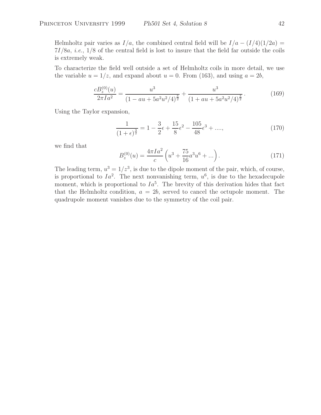Helmholtz pair varies as  $I/a$ , the combined central field will be  $I/a - (I/4)(1/2a) =$ 7I/8a, *i.e.*, 1/8 of the central field is lost to insure that the field far outside the coils is extremely weak.

To characterize the field well outside a set of Helmholtz coils in more detail, we use the variable  $u = 1/z$ , and expand about  $u = 0$ . From (163), and using  $a = 2b$ ,

$$
\frac{cB_z^{(0)}(u)}{2\pi I a^2} = \frac{u^3}{(1 - au + 5a^2u^2/4)^{\frac{3}{2}}} + \frac{u^3}{(1 + au + 5a^2u^2/4)^{\frac{3}{2}}}.
$$
(169)

Using the Taylor expansion,

$$
\frac{1}{(1+\epsilon)^{\frac{3}{2}}} = 1 - \frac{3}{2}\epsilon + \frac{15}{8}\epsilon^2 - \frac{105}{48}\epsilon^3 + \dots,
$$
\n(170)

we find that

$$
B_z^{(0)}(u) = \frac{4\pi I a^2}{c} \left( u^3 + \frac{75}{16} a^3 u^6 + \dots \right). \tag{171}
$$

The leading term,  $u^3 = 1/z^3$ , is due to the dipole moment of the pair, which, of course, is proportional to  $Ia^2$ . The next nonvanishing term,  $u^6$ , is due to the hexadecupole moment, which is proportional to  $Ia<sup>5</sup>$ . The brevity of this derivation hides that fact that the Helmholtz condition,  $a = 2b$ , served to cancel the octupole moment. The quadrupole moment vanishes due to the symmetry of the coil pair.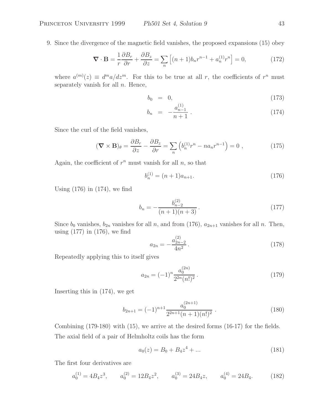9. Since the divergence of the magnetic field vanishes, the proposed expansions (15) obey

$$
\nabla \cdot \mathbf{B} = \frac{1}{r} \frac{\partial B_r}{\partial r} + \frac{\partial B_z}{\partial z} = \sum_n \left[ (n+1) b_n r^{n-1} + a_n^{(1)} r^n \right] = 0,
$$
 (172)

where  $a^{(m)}(z) \equiv d^m a/dz^m$ . For this to be true at all r, the coefficients of  $r^n$  must separately vanish for all  $n$ . Hence,

$$
b_0 = 0, \tag{173}
$$

$$
b_n = -\frac{a_{n-1}^{(1)}}{n+1} \,. \tag{174}
$$

Since the curl of the field vanishes,

$$
(\mathbf{\nabla} \times \mathbf{B})_{\theta} = \frac{\partial B_r}{\partial z} - \frac{\partial B_z}{\partial r} = \sum_n \left( b_n^{(1)} r^n - n a_n r^{n-1} \right) = 0 , \qquad (175)
$$

Again, the coefficient of  $r^n$  must vanish for all  $n$ , so that

$$
b_n^{(1)} = (n+1)a_{n+1}.
$$
\n(176)

Using  $(176)$  in  $(174)$ , we find

$$
b_n = -\frac{b_{n-2}^{(2)}}{(n+1)(n+3)}.\t(177)
$$

Since  $b_0$  vanishes,  $b_{2n}$  vanishes for all n, and from (176),  $a_{2n+1}$  vanishes for all n. Then, using (177) in (176), we find

$$
a_{2n} = -\frac{a_{2n-2}^{(2)}}{4n^2}.
$$
\n(178)

Repeatedly applying this to itself gives

$$
a_{2n} = (-1)^n \frac{a_0^{(2n)}}{2^{2n} (n!)^2}.
$$
\n(179)

Inserting this in (174), we get

$$
b_{2n+1} = (-1)^{n+1} \frac{a_0^{(2n+1)}}{2^{2n+1}(n+1)(n!)^2} . \tag{180}
$$

Combining (179-180) with (15), we arrive at the desired forms (16-17) for the fields. The axial field of a pair of Helmholtz coils has the form

$$
a_0(z) = B_0 + B_4 z^4 + \dots \tag{181}
$$

The first four derivatives are

$$
a_0^{(1)} = 4B_4 z^3, \qquad a_0^{(2)} = 12B_4 z^2, \qquad a_0^{(3)} = 24B_4 z, \qquad a_0^{(4)} = 24B_4. \tag{182}
$$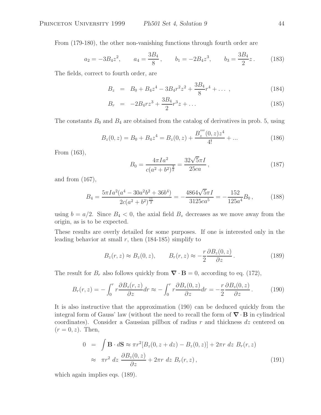From (179-180), the other non-vanishing functions through fourth order are

$$
a_2 = -3B_4z^2
$$
,  $a_4 = \frac{3B_4}{8}$ ,  $b_1 = -2B_4z^3$ ,  $b_3 = \frac{3B_4}{2}z$ . (183)

The fields, correct to fourth order, are

$$
B_z = B_0 + B_4 z^4 - 3B_4 r^2 z^2 + \frac{3B_4}{8} r^4 + \dots \,, \tag{184}
$$

$$
B_r = -2B_4rz^3 + \frac{3B_4}{2}r^3z + \dots \tag{185}
$$

The constants  $B_0$  and  $B_4$  are obtained from the catalog of derivatives in prob. 5, using

$$
B_z(0, z) = B_0 + B_4 z^4 = B_z(0, z) + \frac{B_z^{(m)}(0, z)z^4}{4!} + \dots
$$
 (186)

From (163),

$$
B_0 = \frac{4\pi I a^2}{c(a^2 + b^2)^{\frac{3}{2}}} = \frac{32\sqrt{5}\pi I}{25ca},
$$
\n(187)

and from (167),

$$
B_4 = \frac{5\pi I a^2 (a^4 - 30a^2 b^2 + 36b^4)}{2c(a^2 + b^2)^{\frac{11}{2}}} = -\frac{4864\sqrt{5}\pi I}{3125ca^5} = -\frac{152}{125a^4} B_0,
$$
 (188)

using  $b = a/2$ . Since  $B_4 < 0$ , the axial field  $B_z$  decreases as we move away from the origin, as is to be expected.

These results are overly detailed for some purposes. If one is interested only in the leading behavior at small r, then  $(184-185)$  simplify to

$$
B_z(r, z) \approx B_z(0, z), \qquad B_r(r, z) \approx -\frac{r}{2} \frac{\partial B_z(0, z)}{\partial z}.
$$
 (189)

The result for  $B_r$  also follows quickly from  $\nabla \cdot \mathbf{B} = 0$ , according to eq. (172),

$$
B_r(r,z) = -\int_0^r r \frac{\partial B_z(r,z)}{\partial z} dr \approx -\int_0^r r \frac{\partial B_z(0,z)}{\partial z} dr = -\frac{r}{2} \frac{\partial B_z(0,z)}{\partial z}.
$$
 (190)

It is also instructive that the approximation (190) can be deduced quickly from the integral form of Gauss' law (without the need to recall the form of *∇* · **B** in cylindrical coordinates). Consider a Gaussian pillbox of radius r and thickness  $dz$  centered on  $(r = 0, z)$ . Then,

$$
0 = \int \mathbf{B} \cdot d\mathbf{S} \approx \pi r^2 [B_z(0, z + dz) - B_z(0, z)] + 2\pi r dz B_r(r, z)
$$
  

$$
\approx \pi r^2 dz \frac{\partial B_z(0, z)}{\partial z} + 2\pi r dz B_r(r, z),
$$
 (191)

which again implies eqs.  $(189)$ .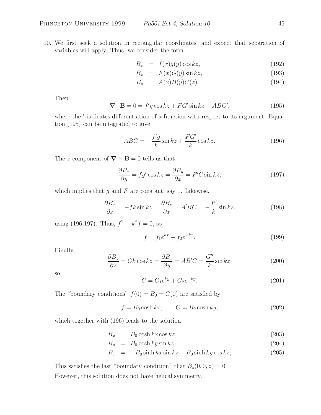10. We first seek a solution in rectangular coordinates, and expect that separation of variables will apply. Thus, we consider the form

$$
B_x = f(x)g(y)\cos kz, \tag{192}
$$

$$
B_x = F(x)G(y)\sin kz, \tag{193}
$$

$$
B_z = A(x)B(y)C(z). \tag{194}
$$

Then

$$
\nabla \cdot \mathbf{B} = 0 = f'g \cos kz + FG' \sin kz + ABC', \qquad (195)
$$

where the  $'$  indicates differentiation of a function with respect to its argument. Equation (195) can be integrated to give

$$
ABC = -\frac{f'g}{k}\sin kz + \frac{FG'}{k}\cos kz.
$$
\n(196)

The z component of  $\nabla \times \mathbf{B} = 0$  tells us that

$$
\frac{\partial B_x}{\partial y} = f g' \cos kz = \frac{\partial B_y}{\partial x} = F' G \sin kz,
$$
\n(197)

which implies that  $q$  and  $F$  are constant, say 1. Likewise,

$$
\frac{\partial B_x}{\partial z} = -fk \sin kz = \frac{\partial B_z}{\partial x} = A'BC = -\frac{f''}{k} \sin kz,
$$
\n(198)

using (196-197). Thus,  $f'' - k^2 f = 0$ , so

$$
f = f_1 e^{kx} + f_2 e^{-kx}.
$$
\n(199)

Finally,

$$
\frac{\partial B_y}{\partial z} = Gk \cos kz = \frac{\partial B_z}{\partial y} = AB'C = \frac{G''}{k} \sin kz,
$$
\n(200)

so

$$
G = G_1 e^{ky} + G_2 e^{-ky}.
$$
\n(201)

The "boundary conditions"  $f(0) = B_0 = G(0)$  are satisfied by

$$
f = B_0 \cosh kx, \qquad G = B_0 \cosh ky,
$$
\n(202)

which together with (196) leads to the solution

$$
B_x = B_0 \cosh kx \cos kz, \tag{203}
$$

$$
B_y = B_0 \cosh ky \sin kz, \tag{204}
$$

$$
B_z = -B_0 \sinh kx \sin kz + B_0 \sinh ky \cos kz, \qquad (205)
$$

This satisfies the last "boundary condition" that  $B_z(0, 0, z) = 0$ . However, this solution does not have helical symmetry.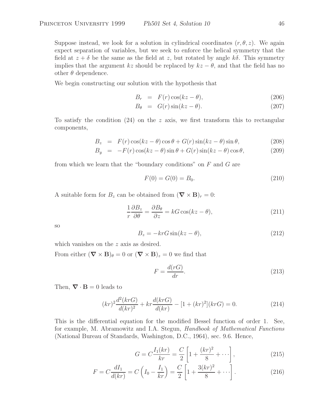Suppose instead, we look for a solution in cylindrical coordinates  $(r, \theta, z)$ . We again expect separation of variables, but we seek to enforce the helical symmetry that the field at  $z + \delta$  be the same as the field at z, but rotated by angle  $k\delta$ . This symmetry implies that the argument kz should be replaced by  $kz - \theta$ , and that the field has no other  $\theta$  dependence.

We begin constructing our solution with the hypothesis that

$$
B_r = F(r)\cos(kz - \theta), \qquad (206)
$$

$$
B_{\theta} = G(r)\sin(kz - \theta). \tag{207}
$$

To satisfy the condition  $(24)$  on the z axis, we first transform this to rectangular components,

$$
B_z = F(r)\cos(kz - \theta)\cos\theta + G(r)\sin(kz - \theta)\sin\theta, \qquad (208)
$$

$$
B_y = -F(r)\cos(kz - \theta)\sin\theta + G(r)\sin(kz - \theta)\cos\theta, \qquad (209)
$$

from which we learn that the "boundary conditions" on  $F$  and  $G$  are

$$
F(0) = G(0) = B_0.
$$
\n(210)

A suitable form for  $B_z$  can be obtained from  $(\nabla \times \mathbf{B})_r = 0$ :

$$
\frac{1}{r}\frac{\partial B_z}{\partial \theta} = \frac{\partial B_\theta}{\partial z} = kG\cos(kz - \theta),\tag{211}
$$

so

$$
B_z = -krG\sin(kz - \theta),\tag{212}
$$

which vanishes on the z axis as desired.

From either  $(\nabla \times \mathbf{B})_{\theta} = 0$  or  $(\nabla \times \mathbf{B})_{z} = 0$  we find that

$$
F = \frac{d(rG)}{dr}.
$$
\n(213)

Then,  $\nabla \cdot \mathbf{B} = 0$  leads to

$$
(kr)^{2} \frac{d^{2}(krG)}{d(kr)^{2}} + kr \frac{d(krG)}{d(kr)} - [1 + (kr)^{2}](krG) = 0.
$$
 (214)

This is the differential equation for the modified Bessel function of order 1. See, for example, M. Abramowitz and I.A. Stegun, *Handbook of Mathematical Functions* (National Bureau of Standards, Washington, D.C., 1964), sec. 9.6. Hence,

$$
G = C \frac{I_1(kr)}{kr} = \frac{C}{2} \left[ 1 + \frac{(kr)^2}{8} + \cdots \right],
$$
 (215)

$$
F = C \frac{dI_1}{d(kr)} = C \left( I_0 - \frac{I_1}{kr} \right) = \frac{C}{2} \left[ 1 + \frac{3(kr)^2}{8} + \cdots \right].
$$
 (216)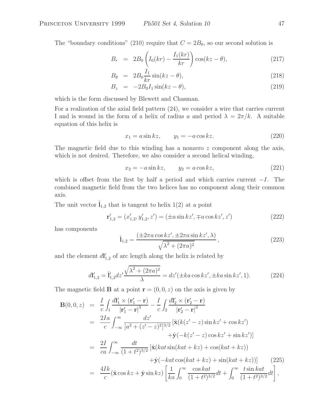The "boundary conditions" (210) require that  $C = 2B_0$ , so our second solution is

$$
B_r = 2B_0 \left( I_0(kr) - \frac{I_1(kr)}{kr} \right) \cos(kz - \theta), \tag{217}
$$

$$
B_{\theta} = 2B_0 \frac{I_1}{kr} \sin(kz - \theta), \qquad (218)
$$

$$
B_z = -2B_0 I_1 \sin(kz - \theta), \qquad (219)
$$

which is the form discussed by Blewett and Chasman.

For a realization of the axial field pattern (24), we consider a wire that carries current I and is wound in the form of a helix of radius a and period  $\lambda = 2\pi/k$ . A suitable equation of this helix is

$$
x_1 = a\sin kz, \qquad y_1 = -a\cos kz. \tag{220}
$$

The magnetic field due to this winding has a nonzero  $z$  component along the axis, which is not desired. Therefore, we also consider a second helical winding,

$$
x_2 = -a\sin kz, \qquad y_2 = a\cos kz,\tag{221}
$$

which is offset from the first by half a period and which carries current  $-I$ . The combined magnetic field from the two helices has no component along their common axis.

The unit vector  $\hat{\mathbf{l}}_{1,2}$  that is tangent to helix 1(2) at a point

$$
\mathbf{r}'_{1,2} = (x'_{1,2}, y'_{1,2}, z') = (\pm a \sin kz', \mp a \cos kz', z')
$$
 (222)

has components

$$
\hat{\mathbf{l}}_{1,2} = \frac{\left(\pm 2\pi a \cos kz', \pm 2\pi a \sin kz', \lambda\right)}{\sqrt{\lambda^2 + (2\pi a)^2}},\tag{223}
$$

and the element  $dI'_{1,2}$  of arc length along the helix is related by

$$
dI'_{1,2} = \hat{I}'_{1,2} dz' \frac{\sqrt{\lambda^2 + (2\pi a)^2}}{\lambda} = dz'(\pm ka \cos kz', \pm ka \sin kz', 1).
$$
 (224)

The magnetic field **B** at a point  $\mathbf{r} = (0, 0, z)$  on the axis is given by

$$
\mathbf{B}(0,0,z) = \frac{I}{c} \int_{1} \frac{dI'_{1} \times (\mathbf{r}_{1}' - \mathbf{r})}{|\mathbf{r}_{1}' - \mathbf{r}|^{3}} - \frac{I}{c} \int_{2} \frac{dI'_{2} \times (\mathbf{r}_{2}' - \mathbf{r})}{|\mathbf{r}_{2}' - \mathbf{r}|^{3}} \n= \frac{2Ia}{c} \int_{-\infty}^{\infty} \frac{dz'}{[a^{2} + (z' - z)^{2}]^{3/2}} \left[ \hat{\mathbf{x}}(k(z' - z) \sin kz' + \cos kz') + \hat{\mathbf{y}}(-k(z' - z) \cos kz' + \sin kz') \right] \n= \frac{2I}{ca} \int_{-\infty}^{\infty} \frac{dt}{(1 + t^{2})^{3/2}} \left[ \hat{\mathbf{x}}(kat \sin(kat + kz) + \cos(kat + kz)) + \hat{\mathbf{y}}(-kat \cos(kat + kz) + \sin(kat + kz)) \right] \tag{225} \n= \frac{4Ik}{c} (\hat{\mathbf{x}} \cos kz + \hat{\mathbf{y}} \sin kz) \left[ \frac{1}{ka} \int_{0}^{\infty} \frac{\cos kat}{(1 + t^{2})^{3/2}} dt + \int_{0}^{\infty} \frac{t \sin kat}{(1 + t^{2})^{3/2}} dt \right],
$$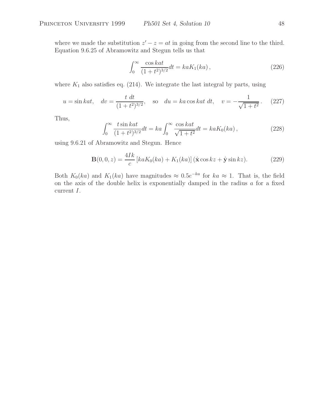where we made the substitution  $z'-z = at$  in going from the second line to the third. Equation 9.6.25 of Abramowitz and Stegun tells us that

$$
\int_0^\infty \frac{\cos kat}{(1+t^2)^{3/2}} dt = ka K_1(ka) ,\qquad (226)
$$

where  $K_1$  also satisfies eq. (214). We integrate the last integral by parts, using

$$
u = \sin kat
$$
,  $dv = \frac{t dt}{(1 + t^2)^{3/2}}$ , so  $du = ka \cos kat dt$ ,  $v = -\frac{1}{\sqrt{1 + t^2}}$ . (227)

Thus,

$$
\int_0^\infty \frac{t \sin kat}{(1+t^2)^{3/2}} dt = ka \int_0^\infty \frac{\cos kat}{\sqrt{1+t^2}} dt = ka K_0(ka), \tag{228}
$$

using 9.6.21 of Abramowitz and Stegun. Hence

$$
\mathbf{B}(0,0,z) = \frac{4Ik}{c} \left[ kaK_0(ka) + K_1(ka) \right] (\hat{\mathbf{x}} \cos kz + \hat{\mathbf{y}} \sin kz).
$$
 (229)

Both  $K_0(ka)$  and  $K_1(ka)$  have magnitudes  $\approx 0.5e^{-ka}$  for  $ka \approx 1$ . That is, the field on the axis of the double helix is exponentially damped in the radius  $a$  for a fixed current I.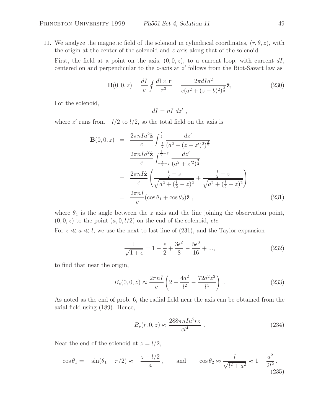11. We analyze the magnetic field of the solenoid in cylindrical coordinates,  $(r, \theta, z)$ , with the origin at the center of the solenoid and  $z$  axis along that of the solenoid.

First, the field at a point on the axis,  $(0, 0, z)$ , to a current loop, with current dI, centered on and perpendicular to the  $z$ -axis at  $z'$  follows from the Biot-Savart law as

$$
\mathbf{B}(0,0,z) = \frac{dI}{c} \oint \frac{d\mathbf{l} \times \mathbf{r}}{r^3} = \frac{2\pi dI a^2}{c(a^2 + (z - b)^2)^{\frac{3}{2}}}\hat{\mathbf{z}},\tag{230}
$$

For the solenoid,

$$
dI = nI \; dz' \; ,
$$

where  $z'$  runs from  $-l/2$  to  $l/2$ , so the total field on the axis is

$$
\mathbf{B}(0,0,z) = \frac{2\pi n I a^2 \hat{\mathbf{z}}}{c} \int_{-\frac{1}{2}}^{\frac{1}{2}} \frac{dz'}{(a^2 + (z - z')^2)^{\frac{3}{2}}}
$$
  
\n
$$
= \frac{2\pi n I a^2 \hat{\mathbf{z}}}{c} \int_{-\frac{1}{2} - z}^{\frac{1}{2} - z} \frac{dz'}{(a^2 + z'^2)^{\frac{3}{2}}}
$$
  
\n
$$
= \frac{2\pi n I \hat{\mathbf{z}}}{c} \left( \frac{\frac{1}{2} - z}{\sqrt{a^2 + (\frac{1}{2} - z)^2}} + \frac{\frac{1}{2} + z}{\sqrt{a^2 + (\frac{1}{2} + z)^2}} \right)
$$
  
\n
$$
= \frac{2\pi n I}{c} (\cos \theta_1 + \cos \theta_2) \hat{\mathbf{z}} , \qquad (231)
$$

where  $\theta_1$  is the angle between the z axis and the line joining the observation point,  $(0, 0, z)$  to the point  $(a, 0, l/2)$  on the end of the solenoid, *etc.* 

For  $z \ll a \ll l$ , we use the next to last line of (231), and the Taylor expansion

$$
\frac{1}{\sqrt{1+\epsilon}} = 1 - \frac{\epsilon}{2} + \frac{3\epsilon^2}{8} - \frac{5\epsilon^3}{16} + ..., \qquad (232)
$$

to find that near the origin,

$$
B_z(0,0,z) \approx \frac{2\pi nI}{c} \left( 2 - \frac{4a^2}{l^2} - \frac{72a^2z^2}{l^4} \right) . \tag{233}
$$

As noted as the end of prob. 6, the radial field near the axis can be obtained from the axial field using (189). Hence,

$$
B_r(r, 0, z) \approx \frac{288\pi n I a^2 rz}{cl^4} \tag{234}
$$

Near the end of the solenoid at  $z = l/2$ ,

$$
\cos \theta_1 = -\sin(\theta_1 - \pi/2) \approx -\frac{z - l/2}{a}
$$
, and  $\cos \theta_2 \approx \frac{l}{\sqrt{l^2 + a^2}} \approx 1 - \frac{a^2}{2l^2}$ . (235)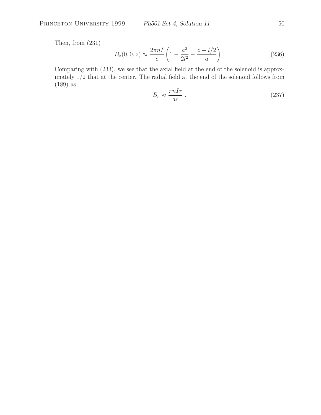Then, from (231)

$$
B_z(0,0,z) \approx \frac{2\pi nI}{c} \left( 1 - \frac{a^2}{2l^2} - \frac{z - l/2}{a} \right) . \tag{236}
$$

Comparing with (233), we see that the axial field at the end of the solenoid is approximately 1/2 that at the center. The radial field at the end of the solenoid follows from (189) as

$$
B_r \approx \frac{\pi n I r}{ac} \,. \tag{237}
$$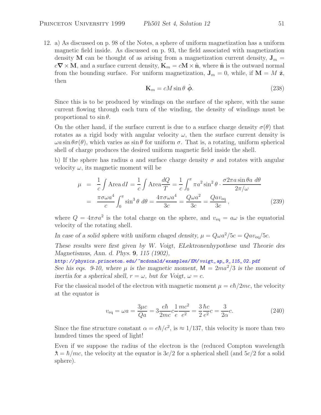12. a) As discussed on p. 98 of the Notes, a sphere of uniform magnetization has a uniform magnetic field inside. As discussed on p. 93, the field associated with magnetization density **M** can be thought of as arising from a magnetization current density,  $J_m =$  $c\nabla \times \mathbf{M}$ , and a surface current density,  $\mathbf{K}_m = c\mathbf{M} \times \hat{\mathbf{n}}$ , where  $\hat{\mathbf{n}}$  is the outward normal from the bounding surface. For uniform magnetization,  $J_m = 0$ , while, if  $M = M \hat{z}$ , then

$$
\mathbf{K}_m = cM\sin\theta \,\,\hat{\boldsymbol{\phi}}.\tag{238}
$$

Since this is to be produced by windings on the surface of the sphere, with the same current flowing through each turn of the winding, the density of windings must be proportional to  $\sin \theta$ .

On the other hand, if the surface current is due to a surface charge density  $\sigma(\theta)$  that rotates as a rigid body with angular velocity  $\omega$ , then the surface current density is  $\omega a \sin \theta \sigma(\theta)$ , which varies as  $\sin \theta$  for uniform  $\sigma$ . That is, a rotating, uniform spherical shell of charge produces the desired uniform magnetic field inside the shell.

b) If the sphere has radius a and surface charge density  $\sigma$  and rotates with angular velocity  $\omega$ , its magnetic moment will be

$$
\mu = \frac{1}{c} \int \text{Area} \, dI = \frac{1}{c} \int \text{Area} \frac{dQ}{T} = \frac{1}{c} \int_0^\pi \pi a^2 \sin^2 \theta \cdot \frac{\sigma 2 \pi a \sin \theta a \, d\theta}{2 \pi / \omega}
$$
\n
$$
= \frac{\pi \sigma \omega a^4}{c} \int_0^\pi \sin^3 \theta \, d\theta = \frac{4 \pi \sigma \omega a^4}{3c} = \frac{Q \omega a^2}{3c} = \frac{Q a v_{\text{eq}}}{3c},\tag{239}
$$

where  $Q = 4\pi\sigma a^2$  is the total charge on the sphere, and  $v_{\text{eq}} = a\omega$  is the equatorial velocity of the rotating shell.

*In case of a solid sphere with uniform chaged density,*  $\mu = Q \omega a^2 / 5c = Q a v_{eq} / 5c$ .

*These results were first given by W. Voigt, ELektronenhypothese und Theorie des Magnetismus, Ann. d. Phys.* **9***, 115 (1902),*

*http: // physics.princeton. edu/ ~mcdonald/ examples/ EM/ voigt\_ap\_9\_ 115\_ 02. pdf See his eqs. 9-10, where*  $\mu$  *is the magnetic moment,*  $M = 2ma^2/3$  *is the moment of inertia for a spherical shell,*  $r = \omega$ *, but for Voigt,*  $\omega = c$ *.* 

For the classical model of the electron with magnetic moment  $\mu = e\hbar/2mc$ , the velocity at the equator is

$$
v_{\text{eq}} = \omega a = \frac{3\mu c}{Qa} = 3\frac{e\hbar}{2mc}c\frac{1}{e}\frac{mc^2}{e^2} = \frac{3}{2}\frac{\hbar c}{e^2}c = \frac{3}{2\alpha}c.
$$
 (240)

Since the fine structure constant  $\alpha = e\hbar/c^2$ , is  $\approx 1/137$ , this velocity is more than two hundred times the speed of light!

Even if we suppose the radius of the electron is the (reduced Compton wavelength  $\lambda = \hbar/mc$ , the velocity at the equator is  $3c/2$  for a spherical shell (and  $5c/2$  for a solid sphere).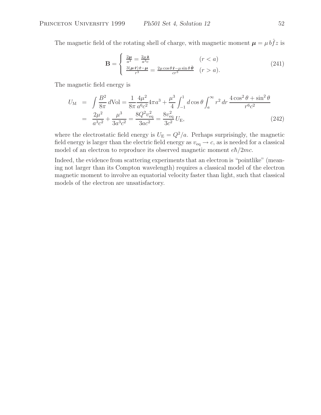The magnetic field of the rotating shell of charge, with magnetic moment  $\mu = \mu b \hat{f} z$  is

$$
\mathbf{B} = \begin{cases} \frac{2\mu}{a^3} = \frac{2\mu \hat{\mathbf{z}}}{a^3 c} & (r < a) \\ \frac{3(\mu \hat{\mathbf{r}})\hat{\mathbf{r}} - \mu}{r^3} = \frac{2\mu \cos \theta \hat{\mathbf{r}} - \mu \sin \theta \hat{\boldsymbol{\theta}}}{cr^3} & (r > a). \end{cases}
$$
(241)

The magnetic field energy is

$$
U_{\rm M} = \int \frac{B^2}{8\pi} d\text{Vol} = \frac{1}{8\pi} \frac{4\mu^2}{a^6 c^2} 4\pi a^3 + \frac{\mu^3}{4} \int_{-1}^1 d\cos\theta \int_a^\infty r^2 dr \frac{4\cos^2\theta + \sin^2\theta}{r^6 c^2}
$$
  
= 
$$
\frac{2\mu^2}{a^3 c^2} + \frac{\mu^3}{3a^3 c^2} = \frac{8Q^2 v_{\text{eq}}^2}{3a c^2} = \frac{8v_{\text{eq}}^2}{3c^2} U_{\text{E}},
$$
(242)

where the electrostatic field energy is  $U_{\rm E} = Q^2/a$ . Perhaps surprisingly, the magnetic field energy is larger than the electric field energy as  $v_{\text{eq}} \rightarrow c$ , as is needed for a classical model of an electron to reproduce its observed magnetic moment  $e\hbar/2mc$ .

Indeed, the evidence from scattering experiments that an electron is "pointlike" (meaning not larger than its Compton wavelength) requires a classical model of the electron magnetic moment to involve an equatorial velocity faster than light, such that classical models of the electron are unsatisfactory.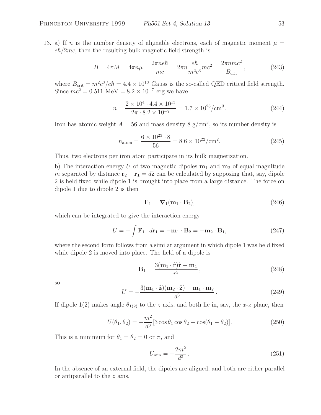13. a) If n is the number density of alignable electrons, each of magnetic moment  $\mu =$  $e\hbar/2mc$ , then the resulting bulk magnetic field strength is

$$
B = 4\pi M = 4\pi n\mu = \frac{2\pi n e\hbar}{mc} = 2\pi n \frac{e\hbar}{m^2 c^3} mc^2 = \frac{2\pi n mc^2}{B_{\text{crit}}},
$$
(243)

where  $B_{\text{crit}} = m^2 c^3 / e \hbar = 4.4 \times 10^{13}$  Gauss is the so-called QED critical field strength. Since  $mc^2 = 0.511 \text{ MeV} = 8.2 \times 10^{-7} \text{ erg we have}$ 

$$
n = \frac{2 \times 10^4 \cdot 4.4 \times 10^{13}}{2\pi \cdot 8.2 \times 10^{-7}} = 1.7 \times 10^{23} / \text{cm}^3. \tag{244}
$$

Iron has atomic weight  $A = 56$  and mass density 8 g/cm<sup>3</sup>, so its number density is

$$
n_{\text{atom}} = \frac{6 \times 10^{23} \cdot 8}{56} = 8.6 \times 10^{22} / \text{cm}^2. \tag{245}
$$

Thus, two electrons per iron atom participate in its bulk magnetization.

b) The interaction energy U of two magnetic dipoles  $\mathbf{m}_1$  and  $\mathbf{m}_2$  of equal magnitude m separated by distance  $\mathbf{r}_2 - \mathbf{r}_1 = d\hat{\mathbf{z}}$  can be calculated by supposing that, say, dipole 2 is held fixed while dipole 1 is brought into place from a large distance. The force on dipole 1 due to dipole 2 is then

$$
\mathbf{F}_1 = \mathbf{\nabla}_1 (\mathbf{m}_1 \cdot \mathbf{B}_2), \tag{246}
$$

which can be integrated to give the interaction energy

$$
U = -\int \mathbf{F}_1 \cdot d\mathbf{r}_1 = -\mathbf{m}_1 \cdot \mathbf{B}_2 = -\mathbf{m}_2 \cdot \mathbf{B}_1, \qquad (247)
$$

where the second form follows from a similar argument in which dipole 1 was held fixed while dipole 2 is moved into place. The field of a dipole is

$$
\mathbf{B}_1 = \frac{3(\mathbf{m}_1 \cdot \hat{\mathbf{r}})\hat{\mathbf{r}} - \mathbf{m}_1}{r^3},\tag{248}
$$

so

$$
U = -\frac{3(\mathbf{m}_1 \cdot \hat{\mathbf{z}})(\mathbf{m}_2 \cdot \hat{\mathbf{z}}) - \mathbf{m}_1 \cdot \mathbf{m}_2}{d^3}.
$$
 (249)

If dipole 1(2) makes angle  $\theta_{1(2)}$  to the z axis, and both lie in, say, the x-z plane, then

$$
U(\theta_1, \theta_2) = -\frac{m^2}{d^3} [3 \cos \theta_1 \cos \theta_2 - \cos(\theta_1 - \theta_2)].
$$
 (250)

This is a minimum for  $\theta_1 = \theta_2 = 0$  or  $\pi$ , and

$$
U_{\min} = -\frac{2m^2}{d^3}.
$$
\n(251)

In the absence of an external field, the dipoles are aligned, and both are either parallel or antiparallel to the z axis.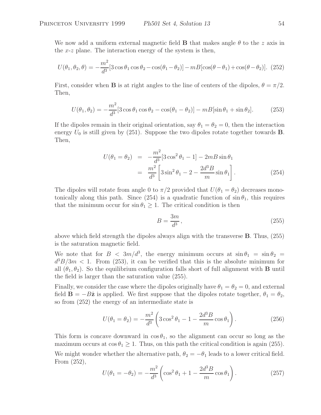We now add a uniform external magnetic field **B** that makes angle  $\theta$  to the z axis in the  $x-z$  plane. The interaction energy of the system is then,

$$
U(\theta_1, \theta_2, \theta) = -\frac{m^2}{d^3} [3\cos\theta_1\cos\theta_2 - \cos(\theta_1 - \theta_2)] - mB[\cos(\theta - \theta_1) + \cos(\theta - \theta_2)].
$$
 (252)

First, consider when **B** is at right angles to the line of centers of the dipoles,  $\theta = \pi/2$ . Then,

$$
U(\theta_1, \theta_2) = -\frac{m^2}{d^3} [3\cos\theta_1\cos\theta_2 - \cos(\theta_1 - \theta_2)] - mB[\sin\theta_1 + \sin\theta_2].
$$
 (253)

If the dipoles remain in their original orientation, say  $\theta_1 = \theta_2 = 0$ , then the interaction energy  $U_0$  is still given by  $(251)$ . Suppose the two dipoles rotate together towards **B**. Then,

$$
U(\theta_1 = \theta_2) = -\frac{m^2}{d^3} [3\cos^2\theta_1 - 1] - 2mB\sin\theta_1
$$
  
= 
$$
\frac{m^2}{d^3} \left[ 3\sin^2\theta_1 - 2 - \frac{2d^3B}{m}\sin\theta_1 \right].
$$
 (254)

The dipoles will rotate from angle 0 to  $\pi/2$  provided that  $U(\theta_1 = \theta_2)$  decreases monotonically along this path. Since (254) is a quadratic function of  $\sin \theta_1$ , this requires that the minimum occur for  $\sin \theta_1 \geq 1$ . The critical condition is then

$$
B = \frac{3m}{d^3},\tag{255}
$$

above which field strength the dipoles always align with the transverse **B**. Thus, (255) is the saturation magnetic field.

We note that for  $B < 3m/d^3$ , the energy minimum occurs at  $\sin \theta_1 = \sin \theta_2 =$  $d^3B/3m < 1$ . From (253), it can be verified that this is the absolute minimum for all  $(\theta_1, \theta_2)$ . So the equilibrium configuration falls short of full alignment with **B** until the field is larger than the saturation value (255).

Finally, we consider the case where the dipoles originally have  $\theta_1 = \theta_2 = 0$ , and external field  $\mathbf{B} = -B\hat{\mathbf{z}}$  is applied. We first suppose that the dipoles rotate together,  $\theta_1 = \theta_2$ , so from (252) the energy of an intermediate state is

$$
U(\theta_1 = \theta_2) = -\frac{m^2}{d^3} \left( 3\cos^2\theta_1 - 1 - \frac{2d^3B}{m}\cos\theta_1 \right).
$$
 (256)

This form is concave downward in  $\cos \theta_1$ , so the alignment can occur so long as the maximum occurs at  $\cos \theta_1 \geq 1$ . Thus, on this path the critical condition is again (255). We might wonder whether the alternative path,  $\theta_2 = -\theta_1$  leads to a lower critical field. From (252),

$$
U(\theta_1 = -\theta_2) = -\frac{m^2}{d^3} \left( \cos^2 \theta_1 + 1 - \frac{2d^3 B}{m} \cos \theta_1 \right).
$$
 (257)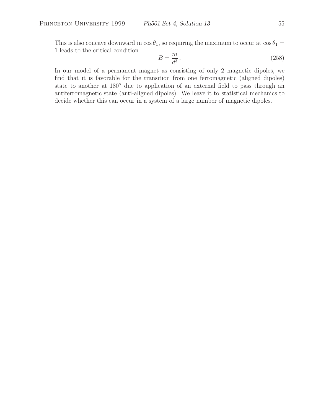This is also concave downward in  $\cos \theta_1$ , so requiring the maximum to occur at  $\cos \theta_1 =$ 1 leads to the critical condition

$$
B = \frac{m}{d^3}.\tag{258}
$$

In our model of a permanent magnet as consisting of only 2 magnetic dipoles, we find that it is favorable for the transition from one ferromagnetic (aligned dipoles) state to another at  $180°$  due to application of an external field to pass through an antiferromagnetic state (anti-aligned dipoles). We leave it to statistical mechanics to decide whether this can occur in a system of a large number of magnetic dipoles.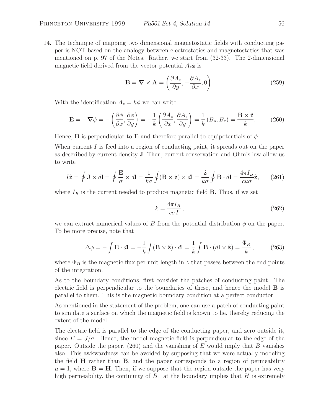14. The technique of mapping two dimensional magnetostatic fields with conducting paper is NOT based on the analogy between electrostatics and magnetostatics that was mentioned on p. 97 of the Notes. Rather, we start from (32-33). The 2-dimensional magnetic field derived from the vector potential  $A_z\hat{z}$  is

$$
\mathbf{B} = \nabla \times \mathbf{A} = \left( \frac{\partial A_z}{\partial y}, -\frac{\partial A_z}{\partial x}, 0 \right). \tag{259}
$$

With the identification  $A_z = k\phi$  we can write

$$
\mathbf{E} = -\nabla \phi = -\left(\frac{\partial \phi}{\partial x}, \frac{\partial \phi}{\partial y}\right) = -\frac{1}{k} \left(\frac{\partial A_z}{\partial x}, \frac{\partial A_z}{\partial y}\right) = \frac{1}{k} \left(B_y, B_x\right) = \frac{\mathbf{B} \times \hat{\mathbf{z}}}{k}.
$$
 (260)

Hence, **B** is perpendicular to **E** and therefore parallel to equipotentials of  $\phi$ .

When current I is feed into a region of conducting paint, it spreads out on the paper as described by current density **J**. Then, current conservation and Ohm's law allow us to write

$$
I\hat{\mathbf{z}} = \oint \mathbf{J} \times d\mathbf{l} = \oint \frac{\mathbf{E}}{\sigma} \times d\mathbf{l} = \frac{1}{k\sigma} \oint (\mathbf{B} \times \hat{\mathbf{z}}) \times d\mathbf{l} = \frac{\hat{\mathbf{z}}}{k\sigma} \oint \mathbf{B} \cdot d\mathbf{l} = \frac{4\pi I_B}{ck\sigma} \hat{\mathbf{z}},\qquad(261)
$$

where  $I_B$  is the current needed to produce magnetic field **B**. Thus, if we set

$$
k = \frac{4\pi I_B}{c\sigma I},\tag{262}
$$

we can extract numerical values of B from the potential distribution  $\phi$  on the paper. To be more precise, note that

$$
\Delta \phi = -\int \mathbf{E} \cdot d\mathbf{l} = -\frac{1}{k} \int (\mathbf{B} \times \hat{\mathbf{z}}) \cdot d\mathbf{l} = \frac{1}{k} \int \mathbf{B} \cdot (d\mathbf{l} \times \hat{\mathbf{z}}) = \frac{\Phi_B}{k}, \quad (263)
$$

where  $\Phi_B$  is the magnetic flux per unit length in z that passes between the end points of the integration.

As to the boundary conditions, first consider the patches of conducting paint. The electric field is perpendicular to the boundaries of these, and hence the model **B** is parallel to them. This is the magnetic boundary condition at a perfect conductor.

As mentioned in the statement of the problem, one can use a patch of conducting paint to simulate a surface on which the magnetic field is known to lie, thereby reducing the extent of the model.

The electric field is parallel to the edge of the conducting paper, and zero outside it, since  $E = J/\sigma$ . Hence, the model magnetic field is perpendicular to the edge of the paper. Outside the paper,  $(260)$  and the vanishing of E would imply that B vanishes also. This awkwardness can be avoided by supposing that we were actually modeling the field **H** rather than **B**, and the paper corresponds to a region of permeability  $\mu = 1$ , where  $\mathbf{B} = \mathbf{H}$ . Then, if we suppose that the region outside the paper has very high permeability, the continuity of  $B_{\perp}$  at the boundary implies that H is extremely